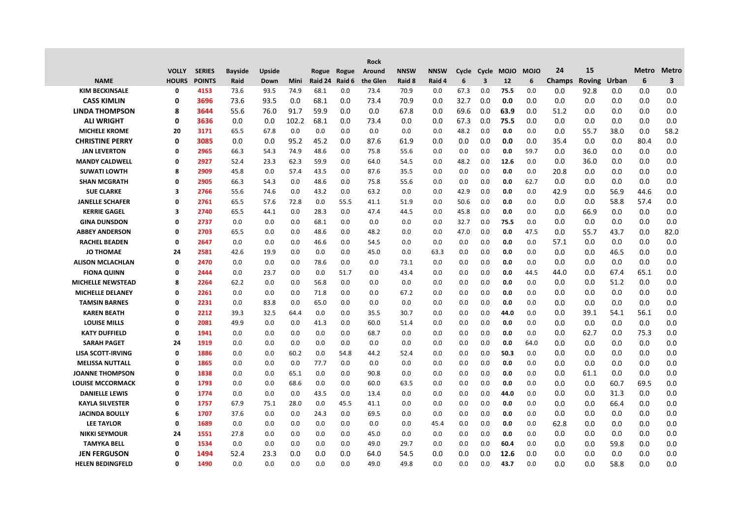|                          |              |               |                |        |       |         |             | <b>Rock</b> |             |             |      |     |                  |             |               |               |       |              |                         |
|--------------------------|--------------|---------------|----------------|--------|-------|---------|-------------|-------------|-------------|-------------|------|-----|------------------|-------------|---------------|---------------|-------|--------------|-------------------------|
|                          | <b>VOLLY</b> | <b>SERIES</b> | <b>Bayside</b> | Upside |       |         | Rogue Rogue | Around      | <b>NNSW</b> | <b>NNSW</b> |      |     | Cycle Cycle MOJO | <b>MOJO</b> | 24            | 15            |       | <b>Metro</b> | <b>Metro</b>            |
| <b>NAME</b>              | <b>HOURS</b> | <b>POINTS</b> | Raid           | Down   | Mini  | Raid 24 | Raid 6      | the Glen    | Raid 8      | Raid 4      | 6    | 3   | 12               | 6           | <b>Champs</b> | <b>Roving</b> | Urban | 6            | $\overline{\mathbf{3}}$ |
| <b>KIM BECKINSALE</b>    | 0            | 4153          | 73.6           | 93.5   | 74.9  | 68.1    | 0.0         | 73.4        | 70.9        | 0.0         | 67.3 | 0.0 | 75.5             | 0.0         | 0.0           | 92.8          | 0.0   | 0.0          | 0.0                     |
| <b>CASS KIMLIN</b>       | 0            | 3696          | 73.6           | 93.5   | 0.0   | 68.1    | 0.0         | 73.4        | 70.9        | 0.0         | 32.7 | 0.0 | 0.0              | 0.0         | 0.0           | 0.0           | 0.0   | 0.0          | 0.0                     |
| <b>LINDA THOMPSON</b>    | 8            | 3644          | 55.6           | 76.0   | 91.7  | 59.9    | 0.0         | 0.0         | 67.8        | 0.0         | 69.6 | 0.0 | 63.9             | 0.0         | 51.2          | 0.0           | 0.0   | 0.0          | 0.0                     |
| <b>ALI WRIGHT</b>        | 0            | 3636          | 0.0            | 0.0    | 102.2 | 68.1    | 0.0         | 73.4        | 0.0         | 0.0         | 67.3 | 0.0 | 75.5             | 0.0         | 0.0           | 0.0           | 0.0   | 0.0          | 0.0                     |
| <b>MICHELE KROME</b>     | 20           | 3171          | 65.5           | 67.8   | 0.0   | 0.0     | 0.0         | 0.0         | 0.0         | 0.0         | 48.2 | 0.0 | 0.0              | 0.0         | 0.0           | 55.7          | 38.0  | 0.0          | 58.2                    |
| <b>CHRISTINE PERRY</b>   | 0            | 3085          | 0.0            | 0.0    | 95.2  | 45.2    | 0.0         | 87.6        | 61.9        | 0.0         | 0.0  | 0.0 | 0.0              | 0.0         | 35.4          | 0.0           | 0.0   | 80.4         | 0.0                     |
| <b>JAN LEVERTON</b>      | 0            | 2965          | 66.3           | 54.3   | 74.9  | 48.6    | 0.0         | 75.8        | 55.6        | 0.0         | 0.0  | 0.0 | 0.0              | 59.7        | 0.0           | 36.0          | 0.0   | 0.0          | 0.0                     |
| <b>MANDY CALDWELL</b>    | 0            | 2927          | 52.4           | 23.3   | 62.3  | 59.9    | 0.0         | 64.0        | 54.5        | 0.0         | 48.2 | 0.0 | 12.6             | 0.0         | 0.0           | 36.0          | 0.0   | 0.0          | 0.0                     |
| <b>SUWATI LOWTH</b>      | 8            | 2909          | 45.8           | 0.0    | 57.4  | 43.5    | 0.0         | 87.6        | 35.5        | 0.0         | 0.0  | 0.0 | 0.0              | 0.0         | 20.8          | 0.0           | 0.0   | 0.0          | 0.0                     |
| <b>SHAN MCGRATH</b>      | 0            | 2905          | 66.3           | 54.3   | 0.0   | 48.6    | 0.0         | 75.8        | 55.6        | 0.0         | 0.0  | 0.0 | 0.0              | 62.7        | 0.0           | 0.0           | 0.0   | 0.0          | 0.0                     |
| <b>SUE CLARKE</b>        | 3            | 2766          | 55.6           | 74.6   | 0.0   | 43.2    | 0.0         | 63.2        | 0.0         | 0.0         | 42.9 | 0.0 | 0.0              | 0.0         | 42.9          | 0.0           | 56.9  | 44.6         | 0.0                     |
| <b>JANELLE SCHAFER</b>   | $\mathbf 0$  | 2761          | 65.5           | 57.6   | 72.8  | 0.0     | 55.5        | 41.1        | 51.9        | 0.0         | 50.6 | 0.0 | 0.0              | 0.0         | 0.0           | 0.0           | 58.8  | 57.4         | 0.0                     |
| <b>KERRIE GAGEL</b>      | 3            | 2740          | 65.5           | 44.1   | 0.0   | 28.3    | 0.0         | 47.4        | 44.5        | 0.0         | 45.8 | 0.0 | 0.0              | 0.0         | 0.0           | 66.9          | 0.0   | 0.0          | 0.0                     |
| <b>GINA DUNSDON</b>      | 0            | 2737          | 0.0            | 0.0    | 0.0   | 68.1    | 0.0         | 0.0         | 0.0         | 0.0         | 32.7 | 0.0 | 75.5             | 0.0         | 0.0           | 0.0           | 0.0   | 0.0          | 0.0                     |
| <b>ABBEY ANDERSON</b>    | 0            | 2703          | 65.5           | 0.0    | 0.0   | 48.6    | 0.0         | 48.2        | 0.0         | 0.0         | 47.0 | 0.0 | 0.0              | 47.5        | 0.0           | 55.7          | 43.7  | 0.0          | 82.0                    |
| <b>RACHEL BEADEN</b>     | 0            | 2647          | 0.0            | 0.0    | 0.0   | 46.6    | 0.0         | 54.5        | 0.0         | 0.0         | 0.0  | 0.0 | 0.0              | 0.0         | 57.1          | 0.0           | 0.0   | 0.0          | 0.0                     |
| <b>JO THOMAE</b>         | 24           | 2581          | 42.6           | 19.9   | 0.0   | 0.0     | 0.0         | 45.0        | 0.0         | 63.3        | 0.0  | 0.0 | 0.0              | 0.0         | 0.0           | 0.0           | 46.5  | 0.0          | 0.0                     |
| <b>ALISON MCLACHLAN</b>  | 0            | 2470          | 0.0            | 0.0    | 0.0   | 78.6    | 0.0         | 0.0         | 73.1        | 0.0         | 0.0  | 0.0 | 0.0              | 0.0         | 0.0           | 0.0           | 0.0   | 0.0          | 0.0                     |
| <b>FIONA QUINN</b>       | 0            | 2444          | 0.0            | 23.7   | 0.0   | 0.0     | 51.7        | 0.0         | 43.4        | 0.0         | 0.0  | 0.0 | 0.0              | 44.5        | 44.0          | 0.0           | 67.4  | 65.1         | 0.0                     |
| MICHELLE NEWSTEAD        | 8            | 2264          | 62.2           | 0.0    | 0.0   | 56.8    | 0.0         | 0.0         | 0.0         | 0.0         | 0.0  | 0.0 | 0.0              | 0.0         | 0.0           | 0.0           | 51.2  | 0.0          | 0.0                     |
| MICHELLE DELANEY         | 0            | 2261          | 0.0            | 0.0    | 0.0   | 71.8    | 0.0         | 0.0         | 67.2        | 0.0         | 0.0  | 0.0 | 0.0              | 0.0         | 0.0           | 0.0           | 0.0   | 0.0          | 0.0                     |
| <b>TAMSIN BARNES</b>     | 0            | 2231          | 0.0            | 83.8   | 0.0   | 65.0    | 0.0         | 0.0         | 0.0         | 0.0         | 0.0  | 0.0 | 0.0              | 0.0         | 0.0           | 0.0           | 0.0   | 0.0          | 0.0                     |
| <b>KAREN BEATH</b>       | 0            | 2212          | 39.3           | 32.5   | 64.4  | 0.0     | 0.0         | 35.5        | 30.7        | 0.0         | 0.0  | 0.0 | 44.0             | 0.0         | 0.0           | 39.1          | 54.1  | 56.1         | 0.0                     |
| <b>LOUISE MILLS</b>      | 0            | 2081          | 49.9           | 0.0    | 0.0   | 41.3    | 0.0         | 60.0        | 51.4        | 0.0         | 0.0  | 0.0 | 0.0              | 0.0         | 0.0           | 0.0           | 0.0   | 0.0          | 0.0                     |
| <b>KATY DUFFIELD</b>     | 0            | 1941          | 0.0            | 0.0    | 0.0   | 0.0     | 0.0         | 68.7        | 0.0         | 0.0         | 0.0  | 0.0 | 0.0              | 0.0         | 0.0           | 62.7          | 0.0   | 75.3         | 0.0                     |
| <b>SARAH PAGET</b>       | 24           | 1919          | 0.0            | 0.0    | 0.0   | 0.0     | 0.0         | 0.0         | 0.0         | 0.0         | 0.0  | 0.0 | 0.0              | 64.0        | 0.0           | 0.0           | 0.0   | 0.0          | 0.0                     |
| <b>LISA SCOTT-IRVING</b> | 0            | 1886          | 0.0            | 0.0    | 60.2  | 0.0     | 54.8        | 44.2        | 52.4        | 0.0         | 0.0  | 0.0 | 50.3             | 0.0         | 0.0           | 0.0           | 0.0   | 0.0          | 0.0                     |
| <b>MELISSA NUTTALL</b>   | 0            | 1865          | 0.0            | 0.0    | 0.0   | 77.7    | 0.0         | 0.0         | 0.0         | 0.0         | 0.0  | 0.0 | 0.0              | 0.0         | 0.0           | 0.0           | 0.0   | 0.0          | 0.0                     |
| <b>JOANNE THOMPSON</b>   | 0            | 1838          | 0.0            | 0.0    | 65.1  | 0.0     | 0.0         | 90.8        | 0.0         | 0.0         | 0.0  | 0.0 | 0.0              | 0.0         | 0.0           | 61.1          | 0.0   | 0.0          | 0.0                     |
| <b>LOUISE MCCORMACK</b>  | 0            | 1793          | 0.0            | 0.0    | 68.6  | 0.0     | 0.0         | 60.0        | 63.5        | 0.0         | 0.0  | 0.0 | 0.0              | 0.0         | 0.0           | 0.0           | 60.7  | 69.5         | 0.0                     |
| <b>DANIELLE LEWIS</b>    | 0            | 1774          | 0.0            | 0.0    | 0.0   | 43.5    | 0.0         | 13.4        | 0.0         | 0.0         | 0.0  | 0.0 | 44.0             | 0.0         | 0.0           | 0.0           | 31.3  | 0.0          | 0.0                     |
| <b>KAYLA SILVESTER</b>   | 0            | 1757          | 67.9           | 75.1   | 28.0  | 0.0     | 45.5        | 41.1        | 0.0         | 0.0         | 0.0  | 0.0 | 0.0              | 0.0         | 0.0           | 0.0           | 66.4  | 0.0          | 0.0                     |
| <b>JACINDA BOULLY</b>    | 6            | 1707          | 37.6           | 0.0    | 0.0   | 24.3    | 0.0         | 69.5        | 0.0         | 0.0         | 0.0  | 0.0 | 0.0              | 0.0         | 0.0           | 0.0           | 0.0   | 0.0          | 0.0                     |
| <b>LEE TAYLOR</b>        | 0            | 1689          | 0.0            | 0.0    | 0.0   | 0.0     | 0.0         | 0.0         | 0.0         | 45.4        | 0.0  | 0.0 | 0.0              | 0.0         | 62.8          | 0.0           | 0.0   | 0.0          | 0.0                     |
| <b>NIKKI SEYMOUR</b>     | 24           | 1551          | 27.8           | 0.0    | 0.0   | 0.0     | 0.0         | 45.0        | 0.0         | 0.0         | 0.0  | 0.0 | 0.0              | 0.0         | 0.0           | 0.0           | 0.0   | 0.0          | 0.0                     |
| <b>TAMYKA BELL</b>       | 0            | 1534          | 0.0            | 0.0    | 0.0   | 0.0     | 0.0         | 49.0        | 29.7        | 0.0         | 0.0  | 0.0 | 60.4             | 0.0         | 0.0           | 0.0           | 59.8  | 0.0          | 0.0                     |
| <b>JEN FERGUSON</b>      | O            | 1494          | 52.4           | 23.3   | 0.0   | 0.0     | 0.0         | 64.0        | 54.5        | 0.0         | 0.0  | 0.0 | 12.6             | 0.0         | 0.0           | 0.0           | 0.0   | 0.0          | 0.0                     |
| <b>HELEN BEDINGFELD</b>  | $\Omega$     | 1490          | 0.0            | 0.0    | 0.0   | 0.0     | 0.0         | 49.0        | 49.8        | 0.0         | 0.0  | 0.0 | 43.7             | 0.0         | 0.0           | 0.0           | 58.8  | 0.0          | 0.0                     |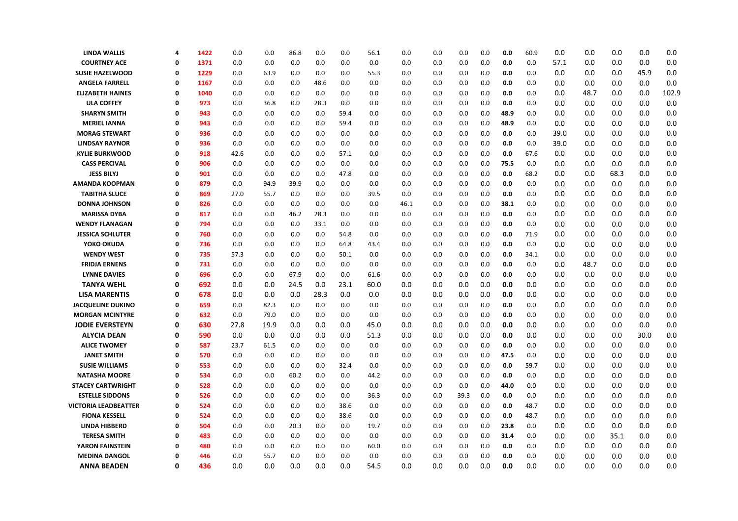| <b>LINDA WALLIS</b>         | 4        | 1422 | 0.0  | 0.0  | 86.8 | 0.0  | 0.0  | 56.1 | 0.0  | 0.0 | 0.0  | 0.0 | 0.0  | 60.9 | 0.0  | 0.0  | 0.0  | 0.0  | 0.0   |
|-----------------------------|----------|------|------|------|------|------|------|------|------|-----|------|-----|------|------|------|------|------|------|-------|
| <b>COURTNEY ACE</b>         | 0        | 1371 | 0.0  | 0.0  | 0.0  | 0.0  | 0.0  | 0.0  | 0.0  | 0.0 | 0.0  | 0.0 | 0.0  | 0.0  | 57.1 | 0.0  | 0.0  | 0.0  | 0.0   |
| <b>SUSIE HAZELWOOD</b>      | 0        | 1229 | 0.0  | 63.9 | 0.0  | 0.0  | 0.0  | 55.3 | 0.0  | 0.0 | 0.0  | 0.0 | 0.0  | 0.0  | 0.0  | 0.0  | 0.0  | 45.9 | 0.0   |
| <b>ANGELA FARRELL</b>       | 0        | 1167 | 0.0  | 0.0  | 0.0  | 48.6 | 0.0  | 0.0  | 0.0  | 0.0 | 0.0  | 0.0 | 0.0  | 0.0  | 0.0  | 0.0  | 0.0  | 0.0  | 0.0   |
| <b>ELIZABETH HAINES</b>     | 0        | 1040 | 0.0  | 0.0  | 0.0  | 0.0  | 0.0  | 0.0  | 0.0  | 0.0 | 0.0  | 0.0 | 0.0  | 0.0  | 0.0  | 48.7 | 0.0  | 0.0  | 102.9 |
| <b>ULA COFFEY</b>           | 0        | 973  | 0.0  | 36.8 | 0.0  | 28.3 | 0.0  | 0.0  | 0.0  | 0.0 | 0.0  | 0.0 | 0.0  | 0.0  | 0.0  | 0.0  | 0.0  | 0.0  | 0.0   |
| <b>SHARYN SMITH</b>         | $\Omega$ | 943  | 0.0  | 0.0  | 0.0  | 0.0  | 59.4 | 0.0  | 0.0  | 0.0 | 0.0  | 0.0 | 48.9 | 0.0  | 0.0  | 0.0  | 0.0  | 0.0  | 0.0   |
| <b>MERIEL IANNA</b>         | 0        | 943  | 0.0  | 0.0  | 0.0  | 0.0  | 59.4 | 0.0  | 0.0  | 0.0 | 0.0  | 0.0 | 48.9 | 0.0  | 0.0  | 0.0  | 0.0  | 0.0  | 0.0   |
| <b>MORAG STEWART</b>        | 0        | 936  | 0.0  | 0.0  | 0.0  | 0.0  | 0.0  | 0.0  | 0.0  | 0.0 | 0.0  | 0.0 | 0.0  | 0.0  | 39.0 | 0.0  | 0.0  | 0.0  | 0.0   |
| <b>LINDSAY RAYNOR</b>       | 0        | 936  | 0.0  | 0.0  | 0.0  | 0.0  | 0.0  | 0.0  | 0.0  | 0.0 | 0.0  | 0.0 | 0.0  | 0.0  | 39.0 | 0.0  | 0.0  | 0.0  | 0.0   |
| <b>KYLIE BURKWOOD</b>       | $\Omega$ | 918  | 42.6 | 0.0  | 0.0  | 0.0  | 57.1 | 0.0  | 0.0  | 0.0 | 0.0  | 0.0 | 0.0  | 67.6 | 0.0  | 0.0  | 0.0  | 0.0  | 0.0   |
| <b>CASS PERCIVAL</b>        | 0        | 906  | 0.0  | 0.0  | 0.0  | 0.0  | 0.0  | 0.0  | 0.0  | 0.0 | 0.0  | 0.0 | 75.5 | 0.0  | 0.0  | 0.0  | 0.0  | 0.0  | 0.0   |
| <b>JESS BILYJ</b>           | 0        | 901  | 0.0  | 0.0  | 0.0  | 0.0  | 47.8 | 0.0  | 0.0  | 0.0 | 0.0  | 0.0 | 0.0  | 68.2 | 0.0  | 0.0  | 68.3 | 0.0  | 0.0   |
| <b>AMANDA KOOPMAN</b>       | $\Omega$ | 879  | 0.0  | 94.9 | 39.9 | 0.0  | 0.0  | 0.0  | 0.0  | 0.0 | 0.0  | 0.0 | 0.0  | 0.0  | 0.0  | 0.0  | 0.0  | 0.0  | 0.0   |
| <b>TABITHA SLUCE</b>        | 0        | 869  | 27.0 | 55.7 | 0.0  | 0.0  | 0.0  | 39.5 | 0.0  | 0.0 | 0.0  | 0.0 | 0.0  | 0.0  | 0.0  | 0.0  | 0.0  | 0.0  | 0.0   |
| <b>DONNA JOHNSON</b>        | $\Omega$ | 826  | 0.0  | 0.0  | 0.0  | 0.0  | 0.0  | 0.0  | 46.1 | 0.0 | 0.0  | 0.0 | 38.1 | 0.0  | 0.0  | 0.0  | 0.0  | 0.0  | 0.0   |
| <b>MARISSA DYBA</b>         | 0        | 817  | 0.0  | 0.0  | 46.2 | 28.3 | 0.0  | 0.0  | 0.0  | 0.0 | 0.0  | 0.0 | 0.0  | 0.0  | 0.0  | 0.0  | 0.0  | 0.0  | 0.0   |
| <b>WENDY FLANAGAN</b>       | Ω        | 794  | 0.0  | 0.0  | 0.0  | 33.1 | 0.0  | 0.0  | 0.0  | 0.0 | 0.0  | 0.0 | 0.0  | 0.0  | 0.0  | 0.0  | 0.0  | 0.0  | 0.0   |
| <b>JESSICA SCHLUTER</b>     | 0        | 760  | 0.0  | 0.0  | 0.0  | 0.0  | 54.8 | 0.0  | 0.0  | 0.0 | 0.0  | 0.0 | 0.0  | 71.9 | 0.0  | 0.0  | 0.0  | 0.0  | 0.0   |
| YOKO OKUDA                  | 0        | 736  | 0.0  | 0.0  | 0.0  | 0.0  | 64.8 | 43.4 | 0.0  | 0.0 | 0.0  | 0.0 | 0.0  | 0.0  | 0.0  | 0.0  | 0.0  | 0.0  | 0.0   |
| <b>WENDY WEST</b>           | 0        | 735  | 57.3 | 0.0  | 0.0  | 0.0  | 50.1 | 0.0  | 0.0  | 0.0 | 0.0  | 0.0 | 0.0  | 34.1 | 0.0  | 0.0  | 0.0  | 0.0  | 0.0   |
| <b>FRIDJA ERNENS</b>        | 0        | 731  | 0.0  | 0.0  | 0.0  | 0.0  | 0.0  | 0.0  | 0.0  | 0.0 | 0.0  | 0.0 | 0.0  | 0.0  | 0.0  | 48.7 | 0.0  | 0.0  | 0.0   |
| <b>LYNNE DAVIES</b>         | 0        | 696  | 0.0  | 0.0  | 67.9 | 0.0  | 0.0  | 61.6 | 0.0  | 0.0 | 0.0  | 0.0 | 0.0  | 0.0  | 0.0  | 0.0  | 0.0  | 0.0  | 0.0   |
| <b>TANYA WEHL</b>           | 0        | 692  | 0.0  | 0.0  | 24.5 | 0.0  | 23.1 | 60.0 | 0.0  | 0.0 | 0.0  | 0.0 | 0.0  | 0.0  | 0.0  | 0.0  | 0.0  | 0.0  | 0.0   |
| <b>LISA MARENTIS</b>        | 0        | 678  | 0.0  | 0.0  | 0.0  | 28.3 | 0.0  | 0.0  | 0.0  | 0.0 | 0.0  | 0.0 | 0.0  | 0.0  | 0.0  | 0.0  | 0.0  | 0.0  | 0.0   |
| <b>JACQUELINE DUKINO</b>    | 0        | 659  | 0.0  | 82.3 | 0.0  | 0.0  | 0.0  | 0.0  | 0.0  | 0.0 | 0.0  | 0.0 | 0.0  | 0.0  | 0.0  | 0.0  | 0.0  | 0.0  | 0.0   |
| <b>MORGAN MCINTYRE</b>      | $\Omega$ | 632  | 0.0  | 79.0 | 0.0  | 0.0  | 0.0  | 0.0  | 0.0  | 0.0 | 0.0  | 0.0 | 0.0  | 0.0  | 0.0  | 0.0  | 0.0  | 0.0  | 0.0   |
| <b>JODIE EVERSTEYN</b>      | 0        | 630  | 27.8 | 19.9 | 0.0  | 0.0  | 0.0  | 45.0 | 0.0  | 0.0 | 0.0  | 0.0 | 0.0  | 0.0  | 0.0  | 0.0  | 0.0  | 0.0  | 0.0   |
| <b>ALYCIA DEAN</b>          | 0        | 590  | 0.0  | 0.0  | 0.0  | 0.0  | 0.0  | 51.3 | 0.0  | 0.0 | 0.0  | 0.0 | 0.0  | 0.0  | 0.0  | 0.0  | 0.0  | 30.0 | 0.0   |
| <b>ALICE TWOMEY</b>         | 0        | 587  | 23.7 | 61.5 | 0.0  | 0.0  | 0.0  | 0.0  | 0.0  | 0.0 | 0.0  | 0.0 | 0.0  | 0.0  | 0.0  | 0.0  | 0.0  | 0.0  | 0.0   |
| <b>JANET SMITH</b>          | 0        | 570  | 0.0  | 0.0  | 0.0  | 0.0  | 0.0  | 0.0  | 0.0  | 0.0 | 0.0  | 0.0 | 47.5 | 0.0  | 0.0  | 0.0  | 0.0  | 0.0  | 0.0   |
| <b>SUSIE WILLIAMS</b>       | 0        | 553  | 0.0  | 0.0  | 0.0  | 0.0  | 32.4 | 0.0  | 0.0  | 0.0 | 0.0  | 0.0 | 0.0  | 59.7 | 0.0  | 0.0  | 0.0  | 0.0  | 0.0   |
| <b>NATASHA MOORE</b>        | 0        | 534  | 0.0  | 0.0  | 60.2 | 0.0  | 0.0  | 44.2 | 0.0  | 0.0 | 0.0  | 0.0 | 0.0  | 0.0  | 0.0  | 0.0  | 0.0  | 0.0  | 0.0   |
| <b>STACEY CARTWRIGHT</b>    | 0        | 528  | 0.0  | 0.0  | 0.0  | 0.0  | 0.0  | 0.0  | 0.0  | 0.0 | 0.0  | 0.0 | 44.0 | 0.0  | 0.0  | 0.0  | 0.0  | 0.0  | 0.0   |
| <b>ESTELLE SIDDONS</b>      | 0        | 526  | 0.0  | 0.0  | 0.0  | 0.0  | 0.0  | 36.3 | 0.0  | 0.0 | 39.3 | 0.0 | 0.0  | 0.0  | 0.0  | 0.0  | 0.0  | 0.0  | 0.0   |
| <b>VICTORIA LEADBEATTER</b> | Ω        | 524  | 0.0  | 0.0  | 0.0  | 0.0  | 38.6 | 0.0  | 0.0  | 0.0 | 0.0  | 0.0 | 0.0  | 48.7 | 0.0  | 0.0  | 0.0  | 0.0  | 0.0   |
| <b>FIONA KESSELL</b>        | 0        | 524  | 0.0  | 0.0  | 0.0  | 0.0  | 38.6 | 0.0  | 0.0  | 0.0 | 0.0  | 0.0 | 0.0  | 48.7 | 0.0  | 0.0  | 0.0  | 0.0  | 0.0   |
| <b>LINDA HIBBERD</b>        | Ω        | 504  | 0.0  | 0.0  | 20.3 | 0.0  | 0.0  | 19.7 | 0.0  | 0.0 | 0.0  | 0.0 | 23.8 | 0.0  | 0.0  | 0.0  | 0.0  | 0.0  | 0.0   |
| <b>TERESA SMITH</b>         | 0        | 483  | 0.0  | 0.0  | 0.0  | 0.0  | 0.0  | 0.0  | 0.0  | 0.0 | 0.0  | 0.0 | 31.4 | 0.0  | 0.0  | 0.0  | 35.1 | 0.0  | 0.0   |
| <b>YARON FAINSTEIN</b>      | 0        | 480  | 0.0  | 0.0  | 0.0  | 0.0  | 0.0  | 60.0 | 0.0  | 0.0 | 0.0  | 0.0 | 0.0  | 0.0  | 0.0  | 0.0  | 0.0  | 0.0  | 0.0   |
| <b>MEDINA DANGOL</b>        | 0        | 446  | 0.0  | 55.7 | 0.0  | 0.0  | 0.0  | 0.0  | 0.0  | 0.0 | 0.0  | 0.0 | 0.0  | 0.0  | 0.0  | 0.0  | 0.0  | 0.0  | 0.0   |
| <b>ANNA BEADEN</b>          | 0        | 436  | 0.0  | 0.0  | 0.0  | 0.0  | 0.0  | 54.5 | 0.0  | 0.0 | 0.0  | 0.0 | 0.0  | 0.0  | 0.0  | 0.0  | 0.0  | 0.0  | 0.0   |
|                             |          |      |      |      |      |      |      |      |      |     |      |     |      |      |      |      |      |      |       |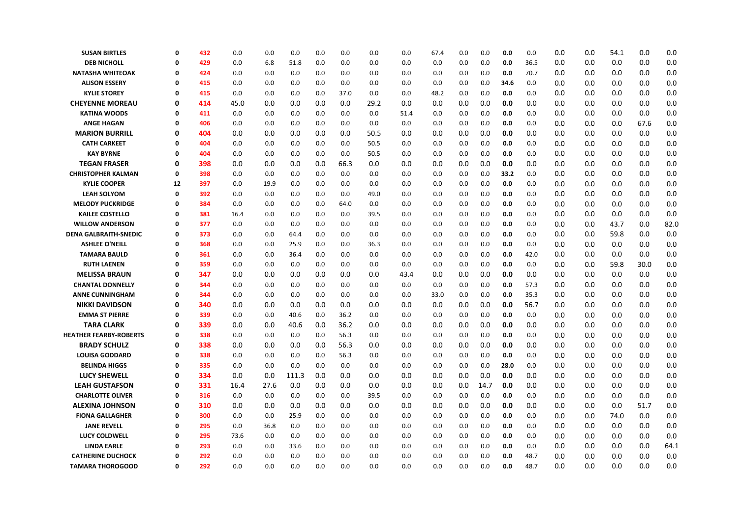| <b>SUSAN BIRTLES</b>          | $\Omega$    | 432 | 0.0  | 0.0  | 0.0   | 0.0 | 0.0  | 0.0  | 0.0  | 67.4 | 0.0 | 0.0  | 0.0  | 0.0  | 0.0 | 0.0 | 54.1 | 0.0  | 0.0  |  |
|-------------------------------|-------------|-----|------|------|-------|-----|------|------|------|------|-----|------|------|------|-----|-----|------|------|------|--|
| <b>DEB NICHOLL</b>            | $\Omega$    | 429 | 0.0  | 6.8  | 51.8  | 0.0 | 0.0  | 0.0  | 0.0  | 0.0  | 0.0 | 0.0  | 0.0  | 36.5 | 0.0 | 0.0 | 0.0  | 0.0  | 0.0  |  |
| <b>NATASHA WHITEOAK</b>       | $\mathbf 0$ | 424 | 0.0  | 0.0  | 0.0   | 0.0 | 0.0  | 0.0  | 0.0  | 0.0  | 0.0 | 0.0  | 0.0  | 70.7 | 0.0 | 0.0 | 0.0  | 0.0  | 0.0  |  |
| <b>ALISON ESSERY</b>          | 0           | 415 | 0.0  | 0.0  | 0.0   | 0.0 | 0.0  | 0.0  | 0.0  | 0.0  | 0.0 | 0.0  | 34.6 | 0.0  | 0.0 | 0.0 | 0.0  | 0.0  | 0.0  |  |
| <b>KYLIE STOREY</b>           | $\Omega$    | 415 | 0.0  | 0.0  | 0.0   | 0.0 | 37.0 | 0.0  | 0.0  | 48.2 | 0.0 | 0.0  | 0.0  | 0.0  | 0.0 | 0.0 | 0.0  | 0.0  | 0.0  |  |
| <b>CHEYENNE MOREAU</b>        | $\Omega$    | 414 | 45.0 | 0.0  | 0.0   | 0.0 | 0.0  | 29.2 | 0.0  | 0.0  | 0.0 | 0.0  | 0.0  | 0.0  | 0.0 | 0.0 | 0.0  | 0.0  | 0.0  |  |
| <b>KATINA WOODS</b>           | $\Omega$    | 411 | 0.0  | 0.0  | 0.0   | 0.0 | 0.0  | 0.0  | 51.4 | 0.0  | 0.0 | 0.0  | 0.0  | 0.0  | 0.0 | 0.0 | 0.0  | 0.0  | 0.0  |  |
| <b>ANGE HAGAN</b>             | $\mathbf 0$ | 406 | 0.0  | 0.0  | 0.0   | 0.0 | 0.0  | 0.0  | 0.0  | 0.0  | 0.0 | 0.0  | 0.0  | 0.0  | 0.0 | 0.0 | 0.0  | 67.6 | 0.0  |  |
| <b>MARION BURRILL</b>         | $\Omega$    | 404 | 0.0  | 0.0  | 0.0   | 0.0 | 0.0  | 50.5 | 0.0  | 0.0  | 0.0 | 0.0  | 0.0  | 0.0  | 0.0 | 0.0 | 0.0  | 0.0  | 0.0  |  |
| <b>CATH CARKEET</b>           | $\Omega$    | 404 | 0.0  | 0.0  | 0.0   | 0.0 | 0.0  | 50.5 | 0.0  | 0.0  | 0.0 | 0.0  | 0.0  | 0.0  | 0.0 | 0.0 | 0.0  | 0.0  | 0.0  |  |
| <b>KAY BYRNE</b>              | $\mathbf 0$ | 404 | 0.0  | 0.0  | 0.0   | 0.0 | 0.0  | 50.5 | 0.0  | 0.0  | 0.0 | 0.0  | 0.0  | 0.0  | 0.0 | 0.0 | 0.0  | 0.0  | 0.0  |  |
| <b>TEGAN FRASER</b>           | $\Omega$    | 398 | 0.0  | 0.0  | 0.0   | 0.0 | 66.3 | 0.0  | 0.0  | 0.0  | 0.0 | 0.0  | 0.0  | 0.0  | 0.0 | 0.0 | 0.0  | 0.0  | 0.0  |  |
| <b>CHRISTOPHER KALMAN</b>     | 0           | 398 | 0.0  | 0.0  | 0.0   | 0.0 | 0.0  | 0.0  | 0.0  | 0.0  | 0.0 | 0.0  | 33.2 | 0.0  | 0.0 | 0.0 | 0.0  | 0.0  | 0.0  |  |
| <b>KYLIE COOPER</b>           | 12          | 397 | 0.0  | 19.9 | 0.0   | 0.0 | 0.0  | 0.0  | 0.0  | 0.0  | 0.0 | 0.0  | 0.0  | 0.0  | 0.0 | 0.0 | 0.0  | 0.0  | 0.0  |  |
| <b>LEAH SOLYOM</b>            | 0           | 392 | 0.0  | 0.0  | 0.0   | 0.0 | 0.0  | 49.0 | 0.0  | 0.0  | 0.0 | 0.0  | 0.0  | 0.0  | 0.0 | 0.0 | 0.0  | 0.0  | 0.0  |  |
| <b>MELODY PUCKRIDGE</b>       | $\Omega$    | 384 | 0.0  | 0.0  | 0.0   | 0.0 | 64.0 | 0.0  | 0.0  | 0.0  | 0.0 | 0.0  | 0.0  | 0.0  | 0.0 | 0.0 | 0.0  | 0.0  | 0.0  |  |
| <b>KAILEE COSTELLO</b>        | $\Omega$    | 381 | 16.4 | 0.0  | 0.0   | 0.0 | 0.0  | 39.5 | 0.0  | 0.0  | 0.0 | 0.0  | 0.0  | 0.0  | 0.0 | 0.0 | 0.0  | 0.0  | 0.0  |  |
| <b>WILLOW ANDERSON</b>        | $\Omega$    | 377 | 0.0  | 0.0  | 0.0   | 0.0 | 0.0  | 0.0  | 0.0  | 0.0  | 0.0 | 0.0  | 0.0  | 0.0  | 0.0 | 0.0 | 43.7 | 0.0  | 82.0 |  |
| <b>DENA GALBRAITH-SNEDIC</b>  | $\Omega$    | 373 | 0.0  | 0.0  | 64.4  | 0.0 | 0.0  | 0.0  | 0.0  | 0.0  | 0.0 | 0.0  | 0.0  | 0.0  | 0.0 | 0.0 | 59.8 | 0.0  | 0.0  |  |
| <b>ASHLEE O'NEILL</b>         | $\Omega$    | 368 | 0.0  | 0.0  | 25.9  | 0.0 | 0.0  | 36.3 | 0.0  | 0.0  | 0.0 | 0.0  | 0.0  | 0.0  | 0.0 | 0.0 | 0.0  | 0.0  | 0.0  |  |
| <b>TAMARA BAULD</b>           | $\Omega$    | 361 | 0.0  | 0.0  | 36.4  | 0.0 | 0.0  | 0.0  | 0.0  | 0.0  | 0.0 | 0.0  | 0.0  | 42.0 | 0.0 | 0.0 | 0.0  | 0.0  | 0.0  |  |
| <b>RUTH LAENEN</b>            | $\Omega$    | 359 | 0.0  | 0.0  | 0.0   | 0.0 | 0.0  | 0.0  | 0.0  | 0.0  | 0.0 | 0.0  | 0.0  | 0.0  | 0.0 | 0.0 | 59.8 | 30.0 | 0.0  |  |
| <b>MELISSA BRAUN</b>          | $\Omega$    | 347 | 0.0  | 0.0  | 0.0   | 0.0 | 0.0  | 0.0  | 43.4 | 0.0  | 0.0 | 0.0  | 0.0  | 0.0  | 0.0 | 0.0 | 0.0  | 0.0  | 0.0  |  |
| <b>CHANTAL DONNELLY</b>       | $\Omega$    | 344 | 0.0  | 0.0  | 0.0   | 0.0 | 0.0  | 0.0  | 0.0  | 0.0  | 0.0 | 0.0  | 0.0  | 57.3 | 0.0 | 0.0 | 0.0  | 0.0  | 0.0  |  |
| <b>ANNE CUNNINGHAM</b>        | 0           | 344 | 0.0  | 0.0  | 0.0   | 0.0 | 0.0  | 0.0  | 0.0  | 33.0 | 0.0 | 0.0  | 0.0  | 35.3 | 0.0 | 0.0 | 0.0  | 0.0  | 0.0  |  |
| <b>NIKKI DAVIDSON</b>         | 0           | 340 | 0.0  | 0.0  | 0.0   | 0.0 | 0.0  | 0.0  | 0.0  | 0.0  | 0.0 | 0.0  | 0.0  | 56.7 | 0.0 | 0.0 | 0.0  | 0.0  | 0.0  |  |
| <b>EMMA ST PIERRE</b>         | $\mathbf 0$ | 339 | 0.0  | 0.0  | 40.6  | 0.0 | 36.2 | 0.0  | 0.0  | 0.0  | 0.0 | 0.0  | 0.0  | 0.0  | 0.0 | 0.0 | 0.0  | 0.0  | 0.0  |  |
| <b>TARA CLARK</b>             | $\mathbf 0$ | 339 | 0.0  | 0.0  | 40.6  | 0.0 | 36.2 | 0.0  | 0.0  | 0.0  | 0.0 | 0.0  | 0.0  | 0.0  | 0.0 | 0.0 | 0.0  | 0.0  | 0.0  |  |
| <b>HEATHER FEARBY-ROBERTS</b> | $\Omega$    | 338 | 0.0  | 0.0  | 0.0   | 0.0 | 56.3 | 0.0  | 0.0  | 0.0  | 0.0 | 0.0  | 0.0  | 0.0  | 0.0 | 0.0 | 0.0  | 0.0  | 0.0  |  |
| <b>BRADY SCHULZ</b>           | $\mathbf 0$ | 338 | 0.0  | 0.0  | 0.0   | 0.0 | 56.3 | 0.0  | 0.0  | 0.0  | 0.0 | 0.0  | 0.0  | 0.0  | 0.0 | 0.0 | 0.0  | 0.0  | 0.0  |  |
| <b>LOUISA GODDARD</b>         | 0           | 338 | 0.0  | 0.0  | 0.0   | 0.0 | 56.3 | 0.0  | 0.0  | 0.0  | 0.0 | 0.0  | 0.0  | 0.0  | 0.0 | 0.0 | 0.0  | 0.0  | 0.0  |  |
| <b>BELINDA HIGGS</b>          | $\Omega$    | 335 | 0.0  | 0.0  | 0.0   | 0.0 | 0.0  | 0.0  | 0.0  | 0.0  | 0.0 | 0.0  | 28.0 | 0.0  | 0.0 | 0.0 | 0.0  | 0.0  | 0.0  |  |
| <b>LUCY SHEWELL</b>           | $\Omega$    | 334 | 0.0  | 0.0  | 111.3 | 0.0 | 0.0  | 0.0  | 0.0  | 0.0  | 0.0 | 0.0  | 0.0  | 0.0  | 0.0 | 0.0 | 0.0  | 0.0  | 0.0  |  |
| <b>LEAH GUSTAFSON</b>         | $\mathbf 0$ | 331 | 16.4 | 27.6 | 0.0   | 0.0 | 0.0  | 0.0  | 0.0  | 0.0  | 0.0 | 14.7 | 0.0  | 0.0  | 0.0 | 0.0 | 0.0  | 0.0  | 0.0  |  |
| <b>CHARLOTTE OLIVER</b>       | $\mathbf 0$ | 316 | 0.0  | 0.0  | 0.0   | 0.0 | 0.0  | 39.5 | 0.0  | 0.0  | 0.0 | 0.0  | 0.0  | 0.0  | 0.0 | 0.0 | 0.0  | 0.0  | 0.0  |  |
| <b>ALEXINA JOHNSON</b>        | 0           | 310 | 0.0  | 0.0  | 0.0   | 0.0 | 0.0  | 0.0  | 0.0  | 0.0  | 0.0 | 0.0  | 0.0  | 0.0  | 0.0 | 0.0 | 0.0  | 51.7 | 0.0  |  |
| <b>FIONA GALLAGHER</b>        | $\Omega$    | 300 | 0.0  | 0.0  | 25.9  | 0.0 | 0.0  | 0.0  | 0.0  | 0.0  | 0.0 | 0.0  | 0.0  | 0.0  | 0.0 | 0.0 | 74.0 | 0.0  | 0.0  |  |
| <b>JANE REVELL</b>            | 0           | 295 | 0.0  | 36.8 | 0.0   | 0.0 | 0.0  | 0.0  | 0.0  | 0.0  | 0.0 | 0.0  | 0.0  | 0.0  | 0.0 | 0.0 | 0.0  | 0.0  | 0.0  |  |
| <b>LUCY COLDWELL</b>          | $\Omega$    | 295 | 73.6 | 0.0  | 0.0   | 0.0 | 0.0  | 0.0  | 0.0  | 0.0  | 0.0 | 0.0  | 0.0  | 0.0  | 0.0 | 0.0 | 0.0  | 0.0  | 0.0  |  |
| <b>LINDA EARLE</b>            | $\Omega$    | 293 | 0.0  | 0.0  | 33.6  | 0.0 | 0.0  | 0.0  | 0.0  | 0.0  | 0.0 | 0.0  | 0.0  | 0.0  | 0.0 | 0.0 | 0.0  | 0.0  | 64.1 |  |
| <b>CATHERINE DUCHOCK</b>      | $\Omega$    | 292 | 0.0  | 0.0  | 0.0   | 0.0 | 0.0  | 0.0  | 0.0  | 0.0  | 0.0 | 0.0  | 0.0  | 48.7 | 0.0 | 0.0 | 0.0  | 0.0  | 0.0  |  |
| <b>TAMARA THOROGOOD</b>       | 0           | 292 | 0.0  | 0.0  | 0.0   | 0.0 | 0.0  | 0.0  | 0.0  | 0.0  | 0.0 | 0.0  | 0.0  | 48.7 | 0.0 | 0.0 | 0.0  | 0.0  | 0.0  |  |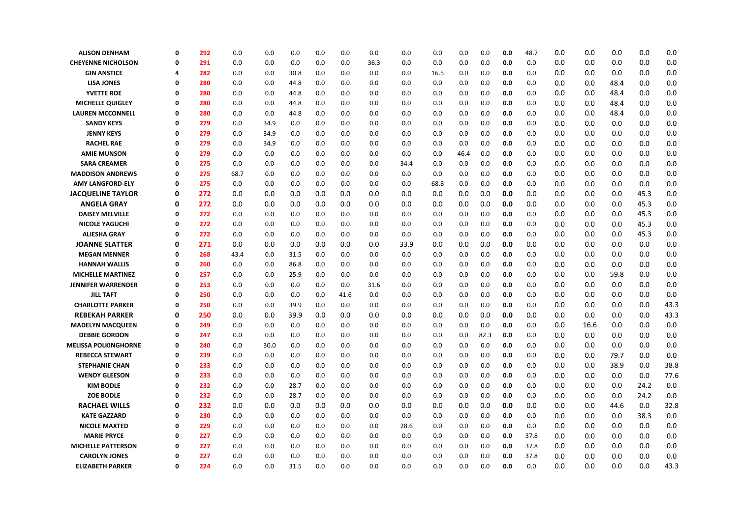| 0.0<br>0.0<br><b>CHEYENNE NICHOLSON</b><br>0<br>291<br>0.0<br>0.0<br>0.0<br>0.0<br>0.0<br>36.3<br>0.0<br>0.0<br>0.0<br>0.0<br>0.0<br><b>GIN ANSTICE</b><br>0.0<br>30.8<br>0.0<br>0.0<br>0.0<br>282<br>0.0<br>0.0<br>0.0<br>0.0<br>16.5<br>0.0<br>0.0<br>0.0<br>4<br>0.0<br><b>LISA JONES</b><br>280<br>0.0<br>0.0<br>44.8<br>0.0<br>0.0<br>0.0<br>0.0<br>0.0<br>0.0<br>0.0<br>0.0<br>0.0<br>0<br>0.0<br><b>YVETTE ROE</b><br>0<br>280<br>0.0<br>0.0<br>0.0<br>0.0<br>0.0<br>0.0<br>0.0<br>0.0<br>0.0<br>44.8<br>0.0<br>0.0<br>0.0<br><b>MICHELLE QUIGLEY</b><br>0<br>280<br>0.0<br>0.0<br>44.8<br>0.0<br>0.0<br>0.0<br>0.0<br>0.0<br>0.0<br>0.0<br>0.0<br>0.0<br>0.0<br><b>LAUREN MCCONNELL</b><br>0<br>280<br>0.0<br>0.0<br>44.8<br>0.0<br>0.0<br>0.0<br>0.0<br>0.0<br>0.0<br>0.0<br>0.0<br>0.0<br>0.0<br><b>SANDY KEYS</b><br>0.0<br>0.0<br>0.0<br>0.0<br>0<br>279<br>0.0<br>34.9<br>0.0<br>0.0<br>0.0<br>0.0<br>0.0<br>0.0<br>0.0<br><b>JENNY KEYS</b><br>0<br>279<br>0.0<br>34.9<br>0.0<br>0.0<br>0.0<br>0.0<br>0.0<br>0.0<br>0.0<br>0.0<br>0.0<br>0.0<br>0.0<br><b>RACHEL RAE</b><br>0<br>279<br>0.0<br>34.9<br>0.0<br>0.0<br>0.0<br>0.0<br>0.0<br>0.0<br>0.0<br>0.0<br>0.0<br>0.0<br><b>AMIE MUNSON</b><br>0<br>279<br>0.0<br>0.0<br>0.0<br>0.0<br>0.0<br>0.0<br>0.0<br>0.0<br>0.0<br>0.0<br>0.0<br>46.4<br>0.0<br>0.0<br><b>SARA CREAMER</b><br>0<br>275<br>0.0<br>0.0<br>0.0<br>0.0<br>0.0<br>0.0<br>0.0<br>0.0<br>0.0<br>0.0<br>34.4<br>0.0<br>275<br>0.0<br>0.0<br>0.0<br><b>MADDISON ANDREWS</b><br>68.7<br>0.0<br>0.0<br>0.0<br>0.0<br>0.0<br>0.0<br>0.0<br>0.0<br>0.0<br>0<br>$\mathbf{0}$<br>0.0<br>68.8<br>0.0<br>0.0<br>0.0<br><b>AMY LANGFORD-ELY</b><br>275<br>0.0<br>0.0<br>0.0<br>0.0<br>0.0<br>0.0<br>0.0<br>0.0<br>0<br>272<br>0.0<br>0.0<br>0.0<br>0.0<br>0.0<br>0.0<br>0.0<br>0.0<br>0.0<br>0.0<br><b>JACQUELINE TAYLOR</b><br>0.0<br>0.0<br>0.0<br>0<br>0.0<br>272<br>0.0<br>0.0<br>0.0<br>0.0<br>0.0<br>0.0<br>0.0<br>0.0<br>0.0<br>0.0<br>0.0<br>0.0<br><b>ANGELA GRAY</b><br><b>DAISEY MELVILLE</b><br>272<br>0.0<br>0.0<br>0.0<br>0.0<br>0.0<br>0.0<br>0.0<br>0.0<br>0.0<br>0.0<br>0.0<br>0<br>0.0<br>0.0<br>0.0<br>0.0<br>0.0<br><b>NICOLE YAGUCHI</b><br>0<br>272<br>0.0<br>0.0<br>0.0<br>0.0<br>0.0<br>0.0<br>0.0<br>0.0<br>0.0<br>0.0<br>0.0<br><b>ALIESHA GRAY</b><br>0<br>272<br>0.0<br>0.0<br>0.0<br>0.0<br>0.0<br>0.0<br>0.0<br>0.0<br>0.0<br>0.0<br>0.0<br>0.0<br><b>JOANNE SLATTER</b><br>0<br>271<br>0.0<br>0.0<br>0.0<br>0.0<br>0.0<br>0.0<br>33.9<br>0.0<br>0.0<br>0.0<br>0.0<br>0.0<br>0.0 | 0.0<br>0.0<br>0.0<br>0.0<br>0.0 | 0.0<br>0.0<br>48.4<br>48.4 | 0.0<br>0.0<br>0.0 | 0.0<br>0.0<br>0.0 |
|---------------------------------------------------------------------------------------------------------------------------------------------------------------------------------------------------------------------------------------------------------------------------------------------------------------------------------------------------------------------------------------------------------------------------------------------------------------------------------------------------------------------------------------------------------------------------------------------------------------------------------------------------------------------------------------------------------------------------------------------------------------------------------------------------------------------------------------------------------------------------------------------------------------------------------------------------------------------------------------------------------------------------------------------------------------------------------------------------------------------------------------------------------------------------------------------------------------------------------------------------------------------------------------------------------------------------------------------------------------------------------------------------------------------------------------------------------------------------------------------------------------------------------------------------------------------------------------------------------------------------------------------------------------------------------------------------------------------------------------------------------------------------------------------------------------------------------------------------------------------------------------------------------------------------------------------------------------------------------------------------------------------------------------------------------------------------------------------------------------------------------------------------------------------------------------------------------------------------------------------------------------------------------------------------------------------------------------------------------------------------------------------------------------------------------------------------------------------------------------------------------------------------------------|---------------------------------|----------------------------|-------------------|-------------------|
|                                                                                                                                                                                                                                                                                                                                                                                                                                                                                                                                                                                                                                                                                                                                                                                                                                                                                                                                                                                                                                                                                                                                                                                                                                                                                                                                                                                                                                                                                                                                                                                                                                                                                                                                                                                                                                                                                                                                                                                                                                                                                                                                                                                                                                                                                                                                                                                                                                                                                                                                       |                                 |                            |                   |                   |
|                                                                                                                                                                                                                                                                                                                                                                                                                                                                                                                                                                                                                                                                                                                                                                                                                                                                                                                                                                                                                                                                                                                                                                                                                                                                                                                                                                                                                                                                                                                                                                                                                                                                                                                                                                                                                                                                                                                                                                                                                                                                                                                                                                                                                                                                                                                                                                                                                                                                                                                                       |                                 |                            |                   |                   |
|                                                                                                                                                                                                                                                                                                                                                                                                                                                                                                                                                                                                                                                                                                                                                                                                                                                                                                                                                                                                                                                                                                                                                                                                                                                                                                                                                                                                                                                                                                                                                                                                                                                                                                                                                                                                                                                                                                                                                                                                                                                                                                                                                                                                                                                                                                                                                                                                                                                                                                                                       |                                 |                            |                   |                   |
|                                                                                                                                                                                                                                                                                                                                                                                                                                                                                                                                                                                                                                                                                                                                                                                                                                                                                                                                                                                                                                                                                                                                                                                                                                                                                                                                                                                                                                                                                                                                                                                                                                                                                                                                                                                                                                                                                                                                                                                                                                                                                                                                                                                                                                                                                                                                                                                                                                                                                                                                       |                                 |                            | 0.0               | 0.0               |
|                                                                                                                                                                                                                                                                                                                                                                                                                                                                                                                                                                                                                                                                                                                                                                                                                                                                                                                                                                                                                                                                                                                                                                                                                                                                                                                                                                                                                                                                                                                                                                                                                                                                                                                                                                                                                                                                                                                                                                                                                                                                                                                                                                                                                                                                                                                                                                                                                                                                                                                                       |                                 | 48.4                       | 0.0               | 0.0               |
|                                                                                                                                                                                                                                                                                                                                                                                                                                                                                                                                                                                                                                                                                                                                                                                                                                                                                                                                                                                                                                                                                                                                                                                                                                                                                                                                                                                                                                                                                                                                                                                                                                                                                                                                                                                                                                                                                                                                                                                                                                                                                                                                                                                                                                                                                                                                                                                                                                                                                                                                       | 0.0                             | 48.4                       | 0.0               | 0.0               |
|                                                                                                                                                                                                                                                                                                                                                                                                                                                                                                                                                                                                                                                                                                                                                                                                                                                                                                                                                                                                                                                                                                                                                                                                                                                                                                                                                                                                                                                                                                                                                                                                                                                                                                                                                                                                                                                                                                                                                                                                                                                                                                                                                                                                                                                                                                                                                                                                                                                                                                                                       | 0.0                             | 0.0                        | 0.0               | 0.0               |
|                                                                                                                                                                                                                                                                                                                                                                                                                                                                                                                                                                                                                                                                                                                                                                                                                                                                                                                                                                                                                                                                                                                                                                                                                                                                                                                                                                                                                                                                                                                                                                                                                                                                                                                                                                                                                                                                                                                                                                                                                                                                                                                                                                                                                                                                                                                                                                                                                                                                                                                                       | 0.0                             | 0.0                        | 0.0               | 0.0               |
|                                                                                                                                                                                                                                                                                                                                                                                                                                                                                                                                                                                                                                                                                                                                                                                                                                                                                                                                                                                                                                                                                                                                                                                                                                                                                                                                                                                                                                                                                                                                                                                                                                                                                                                                                                                                                                                                                                                                                                                                                                                                                                                                                                                                                                                                                                                                                                                                                                                                                                                                       | 0.0                             | 0.0                        | 0.0               | 0.0               |
|                                                                                                                                                                                                                                                                                                                                                                                                                                                                                                                                                                                                                                                                                                                                                                                                                                                                                                                                                                                                                                                                                                                                                                                                                                                                                                                                                                                                                                                                                                                                                                                                                                                                                                                                                                                                                                                                                                                                                                                                                                                                                                                                                                                                                                                                                                                                                                                                                                                                                                                                       | 0.0                             | 0.0                        | 0.0               | 0.0               |
|                                                                                                                                                                                                                                                                                                                                                                                                                                                                                                                                                                                                                                                                                                                                                                                                                                                                                                                                                                                                                                                                                                                                                                                                                                                                                                                                                                                                                                                                                                                                                                                                                                                                                                                                                                                                                                                                                                                                                                                                                                                                                                                                                                                                                                                                                                                                                                                                                                                                                                                                       | 0.0                             | 0.0                        | 0.0               | 0.0               |
|                                                                                                                                                                                                                                                                                                                                                                                                                                                                                                                                                                                                                                                                                                                                                                                                                                                                                                                                                                                                                                                                                                                                                                                                                                                                                                                                                                                                                                                                                                                                                                                                                                                                                                                                                                                                                                                                                                                                                                                                                                                                                                                                                                                                                                                                                                                                                                                                                                                                                                                                       | 0.0                             | 0.0                        | 0.0               | 0.0               |
|                                                                                                                                                                                                                                                                                                                                                                                                                                                                                                                                                                                                                                                                                                                                                                                                                                                                                                                                                                                                                                                                                                                                                                                                                                                                                                                                                                                                                                                                                                                                                                                                                                                                                                                                                                                                                                                                                                                                                                                                                                                                                                                                                                                                                                                                                                                                                                                                                                                                                                                                       | 0.0                             | 0.0                        | 0.0               | 0.0               |
|                                                                                                                                                                                                                                                                                                                                                                                                                                                                                                                                                                                                                                                                                                                                                                                                                                                                                                                                                                                                                                                                                                                                                                                                                                                                                                                                                                                                                                                                                                                                                                                                                                                                                                                                                                                                                                                                                                                                                                                                                                                                                                                                                                                                                                                                                                                                                                                                                                                                                                                                       | 0.0                             | 0.0                        | 45.3              | 0.0               |
|                                                                                                                                                                                                                                                                                                                                                                                                                                                                                                                                                                                                                                                                                                                                                                                                                                                                                                                                                                                                                                                                                                                                                                                                                                                                                                                                                                                                                                                                                                                                                                                                                                                                                                                                                                                                                                                                                                                                                                                                                                                                                                                                                                                                                                                                                                                                                                                                                                                                                                                                       | 0.0                             | 0.0                        | 45.3              | 0.0               |
|                                                                                                                                                                                                                                                                                                                                                                                                                                                                                                                                                                                                                                                                                                                                                                                                                                                                                                                                                                                                                                                                                                                                                                                                                                                                                                                                                                                                                                                                                                                                                                                                                                                                                                                                                                                                                                                                                                                                                                                                                                                                                                                                                                                                                                                                                                                                                                                                                                                                                                                                       | 0.0                             | 0.0                        | 45.3              | 0.0               |
|                                                                                                                                                                                                                                                                                                                                                                                                                                                                                                                                                                                                                                                                                                                                                                                                                                                                                                                                                                                                                                                                                                                                                                                                                                                                                                                                                                                                                                                                                                                                                                                                                                                                                                                                                                                                                                                                                                                                                                                                                                                                                                                                                                                                                                                                                                                                                                                                                                                                                                                                       | 0.0                             | 0.0                        | 45.3              | 0.0               |
|                                                                                                                                                                                                                                                                                                                                                                                                                                                                                                                                                                                                                                                                                                                                                                                                                                                                                                                                                                                                                                                                                                                                                                                                                                                                                                                                                                                                                                                                                                                                                                                                                                                                                                                                                                                                                                                                                                                                                                                                                                                                                                                                                                                                                                                                                                                                                                                                                                                                                                                                       | 0.0                             | 0.0                        | 45.3              | 0.0               |
|                                                                                                                                                                                                                                                                                                                                                                                                                                                                                                                                                                                                                                                                                                                                                                                                                                                                                                                                                                                                                                                                                                                                                                                                                                                                                                                                                                                                                                                                                                                                                                                                                                                                                                                                                                                                                                                                                                                                                                                                                                                                                                                                                                                                                                                                                                                                                                                                                                                                                                                                       | 0.0                             | 0.0                        | 0.0               | 0.0               |
| <b>MEGAN MENNER</b><br>0<br>268<br>43.4<br>0.0<br>31.5<br>0.0<br>0.0<br>0.0<br>0.0<br>0.0<br>0.0<br>0.0<br>0.0<br>0.0<br>0.0                                                                                                                                                                                                                                                                                                                                                                                                                                                                                                                                                                                                                                                                                                                                                                                                                                                                                                                                                                                                                                                                                                                                                                                                                                                                                                                                                                                                                                                                                                                                                                                                                                                                                                                                                                                                                                                                                                                                                                                                                                                                                                                                                                                                                                                                                                                                                                                                          | 0.0                             | 0.0                        | 0.0               | 0.0               |
| 0.0<br>0.0<br><b>HANNAH WALLIS</b><br>260<br>0.0<br>0.0<br>86.8<br>0.0<br>0.0<br>0.0<br>0.0<br>0.0<br>0.0<br>0.0<br>0.0<br>0                                                                                                                                                                                                                                                                                                                                                                                                                                                                                                                                                                                                                                                                                                                                                                                                                                                                                                                                                                                                                                                                                                                                                                                                                                                                                                                                                                                                                                                                                                                                                                                                                                                                                                                                                                                                                                                                                                                                                                                                                                                                                                                                                                                                                                                                                                                                                                                                          | 0.0                             | 0.0                        | 0.0               | 0.0               |
| 0.0<br>0.0<br>0.0<br>0.0<br><b>MICHELLE MARTINEZ</b><br>0<br>257<br>0.0<br>25.9<br>0.0<br>0.0<br>0.0<br>0.0<br>0.0<br>0.0<br>0.0                                                                                                                                                                                                                                                                                                                                                                                                                                                                                                                                                                                                                                                                                                                                                                                                                                                                                                                                                                                                                                                                                                                                                                                                                                                                                                                                                                                                                                                                                                                                                                                                                                                                                                                                                                                                                                                                                                                                                                                                                                                                                                                                                                                                                                                                                                                                                                                                      | 0.0                             | 59.8                       | 0.0               | 0.0               |
| 253<br>0.0<br>0.0<br><b>JENNIFER WARRENDER</b><br>0<br>0.0<br>0.0<br>0.0<br>0.0<br>0.0<br>31.6<br>0.0<br>0.0<br>0.0<br>0.0<br>0.0                                                                                                                                                                                                                                                                                                                                                                                                                                                                                                                                                                                                                                                                                                                                                                                                                                                                                                                                                                                                                                                                                                                                                                                                                                                                                                                                                                                                                                                                                                                                                                                                                                                                                                                                                                                                                                                                                                                                                                                                                                                                                                                                                                                                                                                                                                                                                                                                     | 0.0                             | 0.0                        | 0.0               | 0.0               |
| <b>JILL TAFT</b><br>0<br>0.0<br>0.0<br>0.0<br>0.0<br>0.0<br>0.0<br>0.0<br>0.0<br>0.0<br>0.0<br>250<br>0.0<br>41.6<br>0.0                                                                                                                                                                                                                                                                                                                                                                                                                                                                                                                                                                                                                                                                                                                                                                                                                                                                                                                                                                                                                                                                                                                                                                                                                                                                                                                                                                                                                                                                                                                                                                                                                                                                                                                                                                                                                                                                                                                                                                                                                                                                                                                                                                                                                                                                                                                                                                                                              | 0.0                             | 0.0                        | 0.0               | 0.0               |
| 0.0<br><b>CHARLOTTE PARKER</b><br>0<br>250<br>0.0<br>0.0<br>39.9<br>0.0<br>0.0<br>0.0<br>0.0<br>0.0<br>0.0<br>0.0<br>0.0<br>0.0                                                                                                                                                                                                                                                                                                                                                                                                                                                                                                                                                                                                                                                                                                                                                                                                                                                                                                                                                                                                                                                                                                                                                                                                                                                                                                                                                                                                                                                                                                                                                                                                                                                                                                                                                                                                                                                                                                                                                                                                                                                                                                                                                                                                                                                                                                                                                                                                       | 0.0                             | 0.0                        | 0.0               | 43.3              |
| <b>REBEKAH PARKER</b><br>250<br>0.0<br>0.0<br>39.9<br>0.0<br>0.0<br>0.0<br>0.0<br>0.0<br>0.0<br>0.0<br>0.0<br>0.0<br>0.0<br>0                                                                                                                                                                                                                                                                                                                                                                                                                                                                                                                                                                                                                                                                                                                                                                                                                                                                                                                                                                                                                                                                                                                                                                                                                                                                                                                                                                                                                                                                                                                                                                                                                                                                                                                                                                                                                                                                                                                                                                                                                                                                                                                                                                                                                                                                                                                                                                                                         | 0.0                             | 0.0                        | 0.0               | 43.3              |
| 0<br>0.0<br>0.0<br>0.0<br>0.0<br>0.0<br>0.0<br>0.0<br>0.0<br>0.0<br>0.0<br><b>MADELYN MACQUEEN</b><br>249<br>0.0<br>0.0<br>0.0                                                                                                                                                                                                                                                                                                                                                                                                                                                                                                                                                                                                                                                                                                                                                                                                                                                                                                                                                                                                                                                                                                                                                                                                                                                                                                                                                                                                                                                                                                                                                                                                                                                                                                                                                                                                                                                                                                                                                                                                                                                                                                                                                                                                                                                                                                                                                                                                        | 16.6                            | 0.0                        | 0.0               | 0.0               |
| 82.3<br>0.0<br><b>DEBBIE GORDON</b><br>0<br>247<br>0.0<br>0.0<br>0.0<br>0.0<br>0.0<br>0.0<br>0.0<br>0.0<br>0.0<br>0.0<br>0.0                                                                                                                                                                                                                                                                                                                                                                                                                                                                                                                                                                                                                                                                                                                                                                                                                                                                                                                                                                                                                                                                                                                                                                                                                                                                                                                                                                                                                                                                                                                                                                                                                                                                                                                                                                                                                                                                                                                                                                                                                                                                                                                                                                                                                                                                                                                                                                                                          | 0.0                             | 0.0                        | 0.0               | 0.0               |
| 0.0<br><b>MELISSA POLKINGHORNE</b><br>30.0<br>0.0<br>0<br>0.0<br>0.0<br>0.0<br>0.0<br>0.0<br>0.0<br>0.0<br>0.0<br>0.0<br>0.0<br>240                                                                                                                                                                                                                                                                                                                                                                                                                                                                                                                                                                                                                                                                                                                                                                                                                                                                                                                                                                                                                                                                                                                                                                                                                                                                                                                                                                                                                                                                                                                                                                                                                                                                                                                                                                                                                                                                                                                                                                                                                                                                                                                                                                                                                                                                                                                                                                                                   | 0.0                             | 0.0                        | 0.0               | 0.0               |
| 0.0<br><b>REBECCA STEWART</b><br>0.0<br>0.0<br>0.0<br>0<br>239<br>0.0<br>0.0<br>0.0<br>0.0<br>0.0<br>0.0<br>0.0<br>0.0<br>0.0                                                                                                                                                                                                                                                                                                                                                                                                                                                                                                                                                                                                                                                                                                                                                                                                                                                                                                                                                                                                                                                                                                                                                                                                                                                                                                                                                                                                                                                                                                                                                                                                                                                                                                                                                                                                                                                                                                                                                                                                                                                                                                                                                                                                                                                                                                                                                                                                         | 0.0                             | 79.7                       | 0.0               | 0.0               |
| 0.0<br>0<br>0.0<br>0.0<br>0.0<br>0.0<br><b>STEPHANIE CHAN</b><br>233<br>0.0<br>0.0<br>0.0<br>0.0<br>0.0<br>0.0<br>0.0<br>0.0                                                                                                                                                                                                                                                                                                                                                                                                                                                                                                                                                                                                                                                                                                                                                                                                                                                                                                                                                                                                                                                                                                                                                                                                                                                                                                                                                                                                                                                                                                                                                                                                                                                                                                                                                                                                                                                                                                                                                                                                                                                                                                                                                                                                                                                                                                                                                                                                          | 0.0                             | 38.9                       | 0.0               | 38.8              |
| <b>WENDY GLEESON</b><br>0<br>233<br>0.0<br>0.0<br>0.0<br>0.0<br>0.0<br>0.0<br>0.0<br>0.0<br>0.0<br>0.0<br>0.0<br>0.0<br>0.0                                                                                                                                                                                                                                                                                                                                                                                                                                                                                                                                                                                                                                                                                                                                                                                                                                                                                                                                                                                                                                                                                                                                                                                                                                                                                                                                                                                                                                                                                                                                                                                                                                                                                                                                                                                                                                                                                                                                                                                                                                                                                                                                                                                                                                                                                                                                                                                                           | 0.0                             | 0.0                        | 0.0               | 77.6              |
| 0.0<br><b>KIM BODLE</b><br>0<br>0.0<br>232<br>0.0<br>0.0<br>28.7<br>0.0<br>0.0<br>0.0<br>0.0<br>0.0<br>0.0<br>0.0<br>0.0                                                                                                                                                                                                                                                                                                                                                                                                                                                                                                                                                                                                                                                                                                                                                                                                                                                                                                                                                                                                                                                                                                                                                                                                                                                                                                                                                                                                                                                                                                                                                                                                                                                                                                                                                                                                                                                                                                                                                                                                                                                                                                                                                                                                                                                                                                                                                                                                              | 0.0                             | 0.0                        | 24.2              | 0.0               |
| <b>ZOE BODLE</b><br>232<br>28.7<br>0.0<br>0.0<br>0.0<br>0<br>0.0<br>0.0<br>0.0<br>0.0<br>0.0<br>0.0<br>0.0<br>0.0<br>0.0                                                                                                                                                                                                                                                                                                                                                                                                                                                                                                                                                                                                                                                                                                                                                                                                                                                                                                                                                                                                                                                                                                                                                                                                                                                                                                                                                                                                                                                                                                                                                                                                                                                                                                                                                                                                                                                                                                                                                                                                                                                                                                                                                                                                                                                                                                                                                                                                              | 0.0                             | 0.0                        | 24.2              | 0.0               |
| 232<br>0.0<br>0.0<br><b>RACHAEL WILLS</b><br>0.0<br>0.0<br>0.0<br>0.0<br>0.0<br>0.0<br>0.0<br>0.0<br>0.0<br>0.0<br>0.0<br>0                                                                                                                                                                                                                                                                                                                                                                                                                                                                                                                                                                                                                                                                                                                                                                                                                                                                                                                                                                                                                                                                                                                                                                                                                                                                                                                                                                                                                                                                                                                                                                                                                                                                                                                                                                                                                                                                                                                                                                                                                                                                                                                                                                                                                                                                                                                                                                                                           | 0.0                             | 44.6                       | 0.0               | 32.8              |
| <b>KATE GAZZARD</b><br>0.0<br>0.0<br>0.0<br>0.0<br>0<br>230<br>0.0<br>0.0<br>0.0<br>0.0<br>0.0<br>0.0<br>0.0<br>0.0<br>0.0                                                                                                                                                                                                                                                                                                                                                                                                                                                                                                                                                                                                                                                                                                                                                                                                                                                                                                                                                                                                                                                                                                                                                                                                                                                                                                                                                                                                                                                                                                                                                                                                                                                                                                                                                                                                                                                                                                                                                                                                                                                                                                                                                                                                                                                                                                                                                                                                            | 0.0                             | 0.0                        | 38.3              | 0.0               |
| 0.0<br>0.0<br><b>NICOLE MAXTED</b><br>0<br>229<br>0.0<br>0.0<br>0.0<br>0.0<br>0.0<br>0.0<br>28.6<br>0.0<br>0.0<br>0.0<br>0.0                                                                                                                                                                                                                                                                                                                                                                                                                                                                                                                                                                                                                                                                                                                                                                                                                                                                                                                                                                                                                                                                                                                                                                                                                                                                                                                                                                                                                                                                                                                                                                                                                                                                                                                                                                                                                                                                                                                                                                                                                                                                                                                                                                                                                                                                                                                                                                                                          | 0.0                             | 0.0                        | 0.0               | 0.0               |
| 0<br>227<br>0.0<br>0.0<br>0.0<br>37.8<br>0.0<br><b>MARIE PRYCE</b><br>0.0<br>0.0<br>0.0<br>0.0<br>0.0<br>0.0<br>0.0<br>0.0                                                                                                                                                                                                                                                                                                                                                                                                                                                                                                                                                                                                                                                                                                                                                                                                                                                                                                                                                                                                                                                                                                                                                                                                                                                                                                                                                                                                                                                                                                                                                                                                                                                                                                                                                                                                                                                                                                                                                                                                                                                                                                                                                                                                                                                                                                                                                                                                            | 0.0                             | 0.0                        | 0.0               | 0.0               |
| 0.0<br><b>MICHELLE PATTERSON</b><br>227<br>0.0<br>0.0<br>0.0<br>0.0<br>37.8<br>0<br>0.0<br>0.0<br>0.0<br>0.0<br>0.0<br>0.0<br>0.0                                                                                                                                                                                                                                                                                                                                                                                                                                                                                                                                                                                                                                                                                                                                                                                                                                                                                                                                                                                                                                                                                                                                                                                                                                                                                                                                                                                                                                                                                                                                                                                                                                                                                                                                                                                                                                                                                                                                                                                                                                                                                                                                                                                                                                                                                                                                                                                                     |                                 |                            |                   | 0.0               |
| 0.0<br><b>CAROLYN JONES</b><br>0<br>227<br>0.0<br>0.0<br>0.0<br>0.0<br>0.0<br>0.0<br>0.0<br>0.0<br>37.8<br>0.0<br>0.0<br>0.0                                                                                                                                                                                                                                                                                                                                                                                                                                                                                                                                                                                                                                                                                                                                                                                                                                                                                                                                                                                                                                                                                                                                                                                                                                                                                                                                                                                                                                                                                                                                                                                                                                                                                                                                                                                                                                                                                                                                                                                                                                                                                                                                                                                                                                                                                                                                                                                                          | 0.0                             | 0.0                        | 0.0               |                   |
| 0.0<br>0<br>0.0<br>0.0<br><b>ELIZABETH PARKER</b><br>224<br>0.0<br>0.0<br>31.5<br>0.0<br>0.0<br>0.0<br>0.0<br>0.0<br>0.0<br>0.0                                                                                                                                                                                                                                                                                                                                                                                                                                                                                                                                                                                                                                                                                                                                                                                                                                                                                                                                                                                                                                                                                                                                                                                                                                                                                                                                                                                                                                                                                                                                                                                                                                                                                                                                                                                                                                                                                                                                                                                                                                                                                                                                                                                                                                                                                                                                                                                                       | 0.0<br>0.0                      | 0.0<br>0.0                 | 0.0<br>0.0        | 0.0<br>43.3       |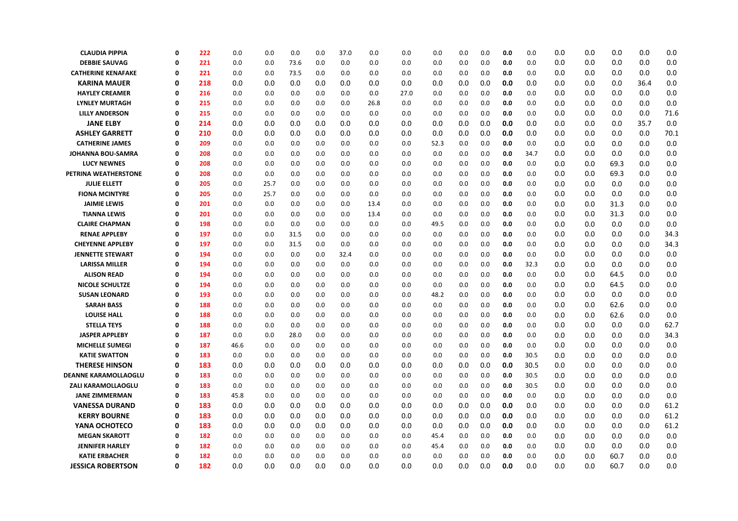| <b>CLAUDIA PIPPIA</b>       | $\Omega$     | 222 | 0.0  | 0.0  | 0.0  | 0.0 | 37.0 | 0.0  | 0.0  | 0.0  | 0.0 | 0.0 | 0.0 | 0.0  | 0.0 | 0.0 | 0.0  | 0.0  | 0.0  |
|-----------------------------|--------------|-----|------|------|------|-----|------|------|------|------|-----|-----|-----|------|-----|-----|------|------|------|
| <b>DEBBIE SAUVAG</b>        | 0            | 221 | 0.0  | 0.0  | 73.6 | 0.0 | 0.0  | 0.0  | 0.0  | 0.0  | 0.0 | 0.0 | 0.0 | 0.0  | 0.0 | 0.0 | 0.0  | 0.0  | 0.0  |
| <b>CATHERINE KENAFAKE</b>   | Ω            | 221 | 0.0  | 0.0  | 73.5 | 0.0 | 0.0  | 0.0  | 0.0  | 0.0  | 0.0 | 0.0 | 0.0 | 0.0  | 0.0 | 0.0 | 0.0  | 0.0  | 0.0  |
| <b>KARINA MAUER</b>         | 0            | 218 | 0.0  | 0.0  | 0.0  | 0.0 | 0.0  | 0.0  | 0.0  | 0.0  | 0.0 | 0.0 | 0.0 | 0.0  | 0.0 | 0.0 | 0.0  | 36.4 | 0.0  |
| <b>HAYLEY CREAMER</b>       | 0            | 216 | 0.0  | 0.0  | 0.0  | 0.0 | 0.0  | 0.0  | 27.0 | 0.0  | 0.0 | 0.0 | 0.0 | 0.0  | 0.0 | 0.0 | 0.0  | 0.0  | 0.0  |
| <b>LYNLEY MURTAGH</b>       | 0            | 215 | 0.0  | 0.0  | 0.0  | 0.0 | 0.0  | 26.8 | 0.0  | 0.0  | 0.0 | 0.0 | 0.0 | 0.0  | 0.0 | 0.0 | 0.0  | 0.0  | 0.0  |
| <b>LILLY ANDERSON</b>       | $\Omega$     | 215 | 0.0  | 0.0  | 0.0  | 0.0 | 0.0  | 0.0  | 0.0  | 0.0  | 0.0 | 0.0 | 0.0 | 0.0  | 0.0 | 0.0 | 0.0  | 0.0  | 71.6 |
| <b>JANE ELBY</b>            | 0            | 214 | 0.0  | 0.0  | 0.0  | 0.0 | 0.0  | 0.0  | 0.0  | 0.0  | 0.0 | 0.0 | 0.0 | 0.0  | 0.0 | 0.0 | 0.0  | 35.7 | 0.0  |
| <b>ASHLEY GARRETT</b>       | 0            | 210 | 0.0  | 0.0  | 0.0  | 0.0 | 0.0  | 0.0  | 0.0  | 0.0  | 0.0 | 0.0 | 0.0 | 0.0  | 0.0 | 0.0 | 0.0  | 0.0  | 70.1 |
| <b>CATHERINE JAMES</b>      | 0            | 209 | 0.0  | 0.0  | 0.0  | 0.0 | 0.0  | 0.0  | 0.0  | 52.3 | 0.0 | 0.0 | 0.0 | 0.0  | 0.0 | 0.0 | 0.0  | 0.0  | 0.0  |
| <b>JOHANNA BOU-SAMRA</b>    | 0            | 208 | 0.0  | 0.0  | 0.0  | 0.0 | 0.0  | 0.0  | 0.0  | 0.0  | 0.0 | 0.0 | 0.0 | 34.7 | 0.0 | 0.0 | 0.0  | 0.0  | 0.0  |
| <b>LUCY NEWNES</b>          | $\Omega$     | 208 | 0.0  | 0.0  | 0.0  | 0.0 | 0.0  | 0.0  | 0.0  | 0.0  | 0.0 | 0.0 | 0.0 | 0.0  | 0.0 | 0.0 | 69.3 | 0.0  | 0.0  |
| PETRINA WEATHERSTONE        | 0            | 208 | 0.0  | 0.0  | 0.0  | 0.0 | 0.0  | 0.0  | 0.0  | 0.0  | 0.0 | 0.0 | 0.0 | 0.0  | 0.0 | 0.0 | 69.3 | 0.0  | 0.0  |
| <b>JULIE ELLETT</b>         | 0            | 205 | 0.0  | 25.7 | 0.0  | 0.0 | 0.0  | 0.0  | 0.0  | 0.0  | 0.0 | 0.0 | 0.0 | 0.0  | 0.0 | 0.0 | 0.0  | 0.0  | 0.0  |
| <b>FIONA MCINTYRE</b>       | 0            | 205 | 0.0  | 25.7 | 0.0  | 0.0 | 0.0  | 0.0  | 0.0  | 0.0  | 0.0 | 0.0 | 0.0 | 0.0  | 0.0 | 0.0 | 0.0  | 0.0  | 0.0  |
| <b>JAIMIE LEWIS</b>         | 0            | 201 | 0.0  | 0.0  | 0.0  | 0.0 | 0.0  | 13.4 | 0.0  | 0.0  | 0.0 | 0.0 | 0.0 | 0.0  | 0.0 | 0.0 | 31.3 | 0.0  | 0.0  |
| <b>TIANNA LEWIS</b>         | 0            | 201 | 0.0  | 0.0  | 0.0  | 0.0 | 0.0  | 13.4 | 0.0  | 0.0  | 0.0 | 0.0 | 0.0 | 0.0  | 0.0 | 0.0 | 31.3 | 0.0  | 0.0  |
| <b>CLAIRE CHAPMAN</b>       | $\Omega$     | 198 | 0.0  | 0.0  | 0.0  | 0.0 | 0.0  | 0.0  | 0.0  | 49.5 | 0.0 | 0.0 | 0.0 | 0.0  | 0.0 | 0.0 | 0.0  | 0.0  | 0.0  |
| <b>RENAE APPLEBY</b>        | 0            | 197 | 0.0  | 0.0  | 31.5 | 0.0 | 0.0  | 0.0  | 0.0  | 0.0  | 0.0 | 0.0 | 0.0 | 0.0  | 0.0 | 0.0 | 0.0  | 0.0  | 34.3 |
| <b>CHEYENNE APPLEBY</b>     | $\Omega$     | 197 | 0.0  | 0.0  | 31.5 | 0.0 | 0.0  | 0.0  | 0.0  | 0.0  | 0.0 | 0.0 | 0.0 | 0.0  | 0.0 | 0.0 | 0.0  | 0.0  | 34.3 |
| <b>JENNETTE STEWART</b>     | 0            | 194 | 0.0  | 0.0  | 0.0  | 0.0 | 32.4 | 0.0  | 0.0  | 0.0  | 0.0 | 0.0 | 0.0 | 0.0  | 0.0 | 0.0 | 0.0  | 0.0  | 0.0  |
| <b>LARISSA MILLER</b>       | 0            | 194 | 0.0  | 0.0  | 0.0  | 0.0 | 0.0  | 0.0  | 0.0  | 0.0  | 0.0 | 0.0 | 0.0 | 32.3 | 0.0 | 0.0 | 0.0  | 0.0  | 0.0  |
| <b>ALISON READ</b>          | $\Omega$     | 194 | 0.0  | 0.0  | 0.0  | 0.0 | 0.0  | 0.0  | 0.0  | 0.0  | 0.0 | 0.0 | 0.0 | 0.0  | 0.0 | 0.0 | 64.5 | 0.0  | 0.0  |
| <b>NICOLE SCHULTZE</b>      | 0            | 194 | 0.0  | 0.0  | 0.0  | 0.0 | 0.0  | 0.0  | 0.0  | 0.0  | 0.0 | 0.0 | 0.0 | 0.0  | 0.0 | 0.0 | 64.5 | 0.0  | 0.0  |
| <b>SUSAN LEONARD</b>        | Ω            | 193 | 0.0  | 0.0  | 0.0  | 0.0 | 0.0  | 0.0  | 0.0  | 48.2 | 0.0 | 0.0 | 0.0 | 0.0  | 0.0 | 0.0 | 0.0  | 0.0  | 0.0  |
| <b>SARAH BASS</b>           | 0            | 188 | 0.0  | 0.0  | 0.0  | 0.0 | 0.0  | 0.0  | 0.0  | 0.0  | 0.0 | 0.0 | 0.0 | 0.0  | 0.0 | 0.0 | 62.6 | 0.0  | 0.0  |
| <b>LOUISE HALL</b>          | 0            | 188 | 0.0  | 0.0  | 0.0  | 0.0 | 0.0  | 0.0  | 0.0  | 0.0  | 0.0 | 0.0 | 0.0 | 0.0  | 0.0 | 0.0 | 62.6 | 0.0  | 0.0  |
| <b>STELLA TEYS</b>          | Ω            | 188 | 0.0  | 0.0  | 0.0  | 0.0 | 0.0  | 0.0  | 0.0  | 0.0  | 0.0 | 0.0 | 0.0 | 0.0  | 0.0 | 0.0 | 0.0  | 0.0  | 62.7 |
| <b>JASPER APPLEBY</b>       | $\Omega$     | 187 | 0.0  | 0.0  | 28.0 | 0.0 | 0.0  | 0.0  | 0.0  | 0.0  | 0.0 | 0.0 | 0.0 | 0.0  | 0.0 | 0.0 | 0.0  | 0.0  | 34.3 |
| <b>MICHELLE SUMEGI</b>      | 0            | 187 | 46.6 | 0.0  | 0.0  | 0.0 | 0.0  | 0.0  | 0.0  | 0.0  | 0.0 | 0.0 | 0.0 | 0.0  | 0.0 | 0.0 | 0.0  | 0.0  | 0.0  |
| <b>KATIE SWATTON</b>        | $\mathbf{0}$ | 183 | 0.0  | 0.0  | 0.0  | 0.0 | 0.0  | 0.0  | 0.0  | 0.0  | 0.0 | 0.0 | 0.0 | 30.5 | 0.0 | 0.0 | 0.0  | 0.0  | 0.0  |
| <b>THERESE HINSON</b>       | 0            | 183 | 0.0  | 0.0  | 0.0  | 0.0 | 0.0  | 0.0  | 0.0  | 0.0  | 0.0 | 0.0 | 0.0 | 30.5 | 0.0 | 0.0 | 0.0  | 0.0  | 0.0  |
| <b>DEANNE KARAMOLLAOGLU</b> | 0            | 183 | 0.0  | 0.0  | 0.0  | 0.0 | 0.0  | 0.0  | 0.0  | 0.0  | 0.0 | 0.0 | 0.0 | 30.5 | 0.0 | 0.0 | 0.0  | 0.0  | 0.0  |
| <b>ZALI KARAMOLLAOGLU</b>   | $\Omega$     | 183 | 0.0  | 0.0  | 0.0  | 0.0 | 0.0  | 0.0  | 0.0  | 0.0  | 0.0 | 0.0 | 0.0 | 30.5 | 0.0 | 0.0 | 0.0  | 0.0  | 0.0  |
| <b>JANE ZIMMERMAN</b>       | 0            | 183 | 45.8 | 0.0  | 0.0  | 0.0 | 0.0  | 0.0  | 0.0  | 0.0  | 0.0 | 0.0 | 0.0 | 0.0  | 0.0 | 0.0 | 0.0  | 0.0  | 0.0  |
| <b>VANESSA DURAND</b>       | 0            | 183 | 0.0  | 0.0  | 0.0  | 0.0 | 0.0  | 0.0  | 0.0  | 0.0  | 0.0 | 0.0 | 0.0 | 0.0  | 0.0 | 0.0 | 0.0  | 0.0  | 61.2 |
| <b>KERRY BOURNE</b>         | $\mathbf 0$  | 183 | 0.0  | 0.0  | 0.0  | 0.0 | 0.0  | 0.0  | 0.0  | 0.0  | 0.0 | 0.0 | 0.0 | 0.0  | 0.0 | 0.0 | 0.0  | 0.0  | 61.2 |
| YANA OCHOTECO               | 0            | 183 | 0.0  | 0.0  | 0.0  | 0.0 | 0.0  | 0.0  | 0.0  | 0.0  | 0.0 | 0.0 | 0.0 | 0.0  | 0.0 | 0.0 | 0.0  | 0.0  | 61.2 |
| <b>MEGAN SKAROTT</b>        | 0            | 182 | 0.0  | 0.0  | 0.0  | 0.0 | 0.0  | 0.0  | 0.0  | 45.4 | 0.0 | 0.0 | 0.0 | 0.0  | 0.0 | 0.0 | 0.0  | 0.0  | 0.0  |
| <b>JENNIFER HARLEY</b>      | $\Omega$     | 182 | 0.0  | 0.0  | 0.0  | 0.0 | 0.0  | 0.0  | 0.0  | 45.4 | 0.0 | 0.0 | 0.0 | 0.0  | 0.0 | 0.0 | 0.0  | 0.0  | 0.0  |
| <b>KATIE ERBACHER</b>       | 0            | 182 | 0.0  | 0.0  | 0.0  | 0.0 | 0.0  | 0.0  | 0.0  | 0.0  | 0.0 | 0.0 | 0.0 | 0.0  | 0.0 | 0.0 | 60.7 | 0.0  | 0.0  |
| <b>JESSICA ROBERTSON</b>    | 0            | 182 | 0.0  | 0.0  | 0.0  | 0.0 | 0.0  | 0.0  | 0.0  | 0.0  | 0.0 | 0.0 | 0.0 | 0.0  | 0.0 | 0.0 | 60.7 | 0.0  | 0.0  |
|                             |              |     |      |      |      |     |      |      |      |      |     |     |     |      |     |     |      |      |      |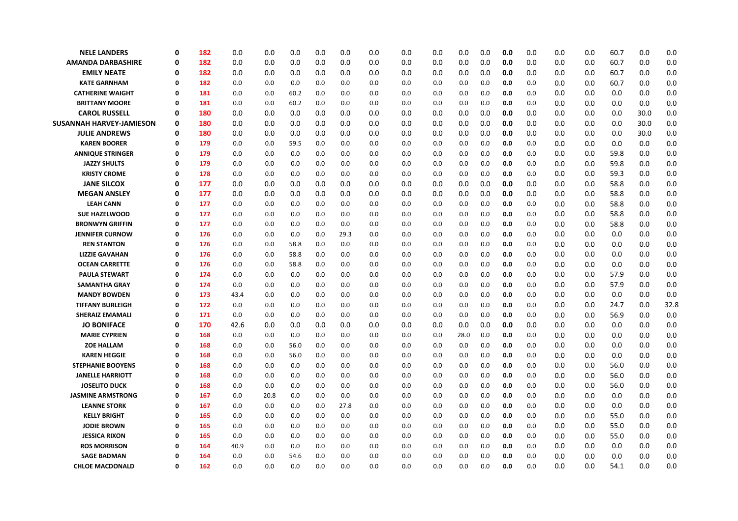| <b>NELE LANDERS</b>             | 0        | 182 | 0.0  | 0.0  | 0.0  | 0.0 | 0.0  | 0.0 | 0.0 | 0.0 | 0.0  | 0.0 | 0.0 | 0.0     | 0.0 | 0.0 | 60.7 | 0.0  | 0.0  |
|---------------------------------|----------|-----|------|------|------|-----|------|-----|-----|-----|------|-----|-----|---------|-----|-----|------|------|------|
| <b>AMANDA DARBASHIRE</b>        | 0        | 182 | 0.0  | 0.0  | 0.0  | 0.0 | 0.0  | 0.0 | 0.0 | 0.0 | 0.0  | 0.0 | 0.0 | 0.0     | 0.0 | 0.0 | 60.7 | 0.0  | 0.0  |
| <b>EMILY NEATE</b>              | 0        | 182 | 0.0  | 0.0  | 0.0  | 0.0 | 0.0  | 0.0 | 0.0 | 0.0 | 0.0  | 0.0 | 0.0 | 0.0     | 0.0 | 0.0 | 60.7 | 0.0  | 0.0  |
| <b>KATE GARNHAM</b>             | 0        | 182 | 0.0  | 0.0  | 0.0  | 0.0 | 0.0  | 0.0 | 0.0 | 0.0 | 0.0  | 0.0 | 0.0 | 0.0     | 0.0 | 0.0 | 60.7 | 0.0  | 0.0  |
| <b>CATHERINE WAIGHT</b>         | 0        | 181 | 0.0  | 0.0  | 60.2 | 0.0 | 0.0  | 0.0 | 0.0 | 0.0 | 0.0  | 0.0 | 0.0 | 0.0     | 0.0 | 0.0 | 0.0  | 0.0  | 0.0  |
| <b>BRITTANY MOORE</b>           | 0        | 181 | 0.0  | 0.0  | 60.2 | 0.0 | 0.0  | 0.0 | 0.0 | 0.0 | 0.0  | 0.0 | 0.0 | 0.0     | 0.0 | 0.0 | 0.0  | 0.0  | 0.0  |
| <b>CAROL RUSSELL</b>            | 0        | 180 | 0.0  | 0.0  | 0.0  | 0.0 | 0.0  | 0.0 | 0.0 | 0.0 | 0.0  | 0.0 | 0.0 | 0.0     | 0.0 | 0.0 | 0.0  | 30.0 | 0.0  |
| <b>SUSANNAH HARVEY-JAMIESON</b> | 0        | 180 | 0.0  | 0.0  | 0.0  | 0.0 | 0.0  | 0.0 | 0.0 | 0.0 | 0.0  | 0.0 | 0.0 | $0.0\,$ | 0.0 | 0.0 | 0.0  | 30.0 | 0.0  |
| <b>JULIE ANDREWS</b>            | 0        | 180 | 0.0  | 0.0  | 0.0  | 0.0 | 0.0  | 0.0 | 0.0 | 0.0 | 0.0  | 0.0 | 0.0 | 0.0     | 0.0 | 0.0 | 0.0  | 30.0 | 0.0  |
| <b>KAREN BOORER</b>             | 0        | 179 | 0.0  | 0.0  | 59.5 | 0.0 | 0.0  | 0.0 | 0.0 | 0.0 | 0.0  | 0.0 | 0.0 | 0.0     | 0.0 | 0.0 | 0.0  | 0.0  | 0.0  |
| <b>ANNIQUE STRINGER</b>         | 0        | 179 | 0.0  | 0.0  | 0.0  | 0.0 | 0.0  | 0.0 | 0.0 | 0.0 | 0.0  | 0.0 | 0.0 | 0.0     | 0.0 | 0.0 | 59.8 | 0.0  | 0.0  |
| <b>JAZZY SHULTS</b>             | 0        | 179 | 0.0  | 0.0  | 0.0  | 0.0 | 0.0  | 0.0 | 0.0 | 0.0 | 0.0  | 0.0 | 0.0 | 0.0     | 0.0 | 0.0 | 59.8 | 0.0  | 0.0  |
| <b>KRISTY CROME</b>             | 0        | 178 | 0.0  | 0.0  | 0.0  | 0.0 | 0.0  | 0.0 | 0.0 | 0.0 | 0.0  | 0.0 | 0.0 | 0.0     | 0.0 | 0.0 | 59.3 | 0.0  | 0.0  |
| <b>JANE SILCOX</b>              | 0        | 177 | 0.0  | 0.0  | 0.0  | 0.0 | 0.0  | 0.0 | 0.0 | 0.0 | 0.0  | 0.0 | 0.0 | 0.0     | 0.0 | 0.0 | 58.8 | 0.0  | 0.0  |
| <b>MEGAN ANSLEY</b>             | 0        | 177 | 0.0  | 0.0  | 0.0  | 0.0 | 0.0  | 0.0 | 0.0 | 0.0 | 0.0  | 0.0 | 0.0 | 0.0     | 0.0 | 0.0 | 58.8 | 0.0  | 0.0  |
| <b>LEAH CANN</b>                | 0        | 177 | 0.0  | 0.0  | 0.0  | 0.0 | 0.0  | 0.0 | 0.0 | 0.0 | 0.0  | 0.0 | 0.0 | 0.0     | 0.0 | 0.0 | 58.8 | 0.0  | 0.0  |
| <b>SUE HAZELWOOD</b>            | 0        | 177 | 0.0  | 0.0  | 0.0  | 0.0 | 0.0  | 0.0 | 0.0 | 0.0 | 0.0  | 0.0 | 0.0 | 0.0     | 0.0 | 0.0 | 58.8 | 0.0  | 0.0  |
| <b>BRONWYN GRIFFIN</b>          | 0        | 177 | 0.0  | 0.0  | 0.0  | 0.0 | 0.0  | 0.0 | 0.0 | 0.0 | 0.0  | 0.0 | 0.0 | 0.0     | 0.0 | 0.0 | 58.8 | 0.0  | 0.0  |
| <b>JENNIFER CURNOW</b>          | 0        | 176 | 0.0  | 0.0  | 0.0  | 0.0 | 29.3 | 0.0 | 0.0 | 0.0 | 0.0  | 0.0 | 0.0 | 0.0     | 0.0 | 0.0 | 0.0  | 0.0  | 0.0  |
| <b>REN STANTON</b>              | 0        | 176 | 0.0  | 0.0  | 58.8 | 0.0 | 0.0  | 0.0 | 0.0 | 0.0 | 0.0  | 0.0 | 0.0 | 0.0     | 0.0 | 0.0 | 0.0  | 0.0  | 0.0  |
| <b>LIZZIE GAVAHAN</b>           | 0        | 176 | 0.0  | 0.0  | 58.8 | 0.0 | 0.0  | 0.0 | 0.0 | 0.0 | 0.0  | 0.0 | 0.0 | 0.0     | 0.0 | 0.0 | 0.0  | 0.0  | 0.0  |
| <b>OCEAN CARRETTE</b>           | 0        | 176 | 0.0  | 0.0  | 58.8 | 0.0 | 0.0  | 0.0 | 0.0 | 0.0 | 0.0  | 0.0 | 0.0 | 0.0     | 0.0 | 0.0 | 0.0  | 0.0  | 0.0  |
| <b>PAULA STEWART</b>            | O        | 174 | 0.0  | 0.0  | 0.0  | 0.0 | 0.0  | 0.0 | 0.0 | 0.0 | 0.0  | 0.0 | 0.0 | 0.0     | 0.0 | 0.0 | 57.9 | 0.0  | 0.0  |
| <b>SAMANTHA GRAY</b>            | 0        | 174 | 0.0  | 0.0  | 0.0  | 0.0 | 0.0  | 0.0 | 0.0 | 0.0 | 0.0  | 0.0 | 0.0 | 0.0     | 0.0 | 0.0 | 57.9 | 0.0  | 0.0  |
| <b>MANDY BOWDEN</b>             | 0        | 173 | 43.4 | 0.0  | 0.0  | 0.0 | 0.0  | 0.0 | 0.0 | 0.0 | 0.0  | 0.0 | 0.0 | 0.0     | 0.0 | 0.0 | 0.0  | 0.0  | 0.0  |
| <b>TIFFANY BURLEIGH</b>         | 0        | 172 | 0.0  | 0.0  | 0.0  | 0.0 | 0.0  | 0.0 | 0.0 | 0.0 | 0.0  | 0.0 | 0.0 | 0.0     | 0.0 | 0.0 | 24.7 | 0.0  | 32.8 |
| <b>SHERAIZ EMAMALI</b>          | 0        | 171 | 0.0  | 0.0  | 0.0  | 0.0 | 0.0  | 0.0 | 0.0 | 0.0 | 0.0  | 0.0 | 0.0 | 0.0     | 0.0 | 0.0 | 56.9 | 0.0  | 0.0  |
| <b>JO BONIFACE</b>              | 0        | 170 | 42.6 | 0.0  | 0.0  | 0.0 | 0.0  | 0.0 | 0.0 | 0.0 | 0.0  | 0.0 | 0.0 | 0.0     | 0.0 | 0.0 | 0.0  | 0.0  | 0.0  |
| <b>MARIE CYPRIEN</b>            | 0        | 168 | 0.0  | 0.0  | 0.0  | 0.0 | 0.0  | 0.0 | 0.0 | 0.0 | 28.0 | 0.0 | 0.0 | 0.0     | 0.0 | 0.0 | 0.0  | 0.0  | 0.0  |
| <b>ZOE HALLAM</b>               | 0        | 168 | 0.0  | 0.0  | 56.0 | 0.0 | 0.0  | 0.0 | 0.0 | 0.0 | 0.0  | 0.0 | 0.0 | 0.0     | 0.0 | 0.0 | 0.0  | 0.0  | 0.0  |
| <b>KAREN HEGGIE</b>             | 0        | 168 | 0.0  | 0.0  | 56.0 | 0.0 | 0.0  | 0.0 | 0.0 | 0.0 | 0.0  | 0.0 | 0.0 | 0.0     | 0.0 | 0.0 | 0.0  | 0.0  | 0.0  |
| <b>STEPHANIE BOOYENS</b>        | 0        | 168 | 0.0  | 0.0  | 0.0  | 0.0 | 0.0  | 0.0 | 0.0 | 0.0 | 0.0  | 0.0 | 0.0 | 0.0     | 0.0 | 0.0 | 56.0 | 0.0  | 0.0  |
| <b>JANELLE HARRIOTT</b>         | 0        | 168 | 0.0  | 0.0  | 0.0  | 0.0 | 0.0  | 0.0 | 0.0 | 0.0 | 0.0  | 0.0 | 0.0 | 0.0     | 0.0 | 0.0 | 56.0 | 0.0  | 0.0  |
| <b>JOSELITO DUCK</b>            | $\Omega$ | 168 | 0.0  | 0.0  | 0.0  | 0.0 | 0.0  | 0.0 | 0.0 | 0.0 | 0.0  | 0.0 | 0.0 | 0.0     | 0.0 | 0.0 | 56.0 | 0.0  | 0.0  |
| <b>JASMINE ARMSTRONG</b>        | 0        | 167 | 0.0  | 20.8 | 0.0  | 0.0 | 0.0  | 0.0 | 0.0 | 0.0 | 0.0  | 0.0 | 0.0 | 0.0     | 0.0 | 0.0 | 0.0  | 0.0  | 0.0  |
| <b>LEANNE STORK</b>             | 0        | 167 | 0.0  | 0.0  | 0.0  | 0.0 | 27.8 | 0.0 | 0.0 | 0.0 | 0.0  | 0.0 | 0.0 | 0.0     | 0.0 | 0.0 | 0.0  | 0.0  | 0.0  |
| <b>KELLY BRIGHT</b>             | 0        | 165 | 0.0  | 0.0  | 0.0  | 0.0 | 0.0  | 0.0 | 0.0 | 0.0 | 0.0  | 0.0 | 0.0 | 0.0     | 0.0 | 0.0 | 55.0 | 0.0  | 0.0  |
| <b>JODIE BROWN</b>              | 0        | 165 | 0.0  | 0.0  | 0.0  | 0.0 | 0.0  | 0.0 | 0.0 | 0.0 | 0.0  | 0.0 | 0.0 | 0.0     | 0.0 | 0.0 | 55.0 | 0.0  | 0.0  |
| <b>JESSICA RIXON</b>            | 0        | 165 | 0.0  | 0.0  | 0.0  | 0.0 | 0.0  | 0.0 | 0.0 | 0.0 | 0.0  | 0.0 | 0.0 | 0.0     | 0.0 | 0.0 | 55.0 | 0.0  | 0.0  |
| <b>ROS MORRISON</b>             | 0        | 164 | 40.9 | 0.0  | 0.0  | 0.0 | 0.0  | 0.0 | 0.0 | 0.0 | 0.0  | 0.0 | 0.0 | 0.0     | 0.0 | 0.0 | 0.0  | 0.0  | 0.0  |
| <b>SAGE BADMAN</b>              | $\Omega$ | 164 | 0.0  | 0.0  | 54.6 | 0.0 | 0.0  | 0.0 | 0.0 | 0.0 | 0.0  | 0.0 | 0.0 | 0.0     | 0.0 | 0.0 | 0.0  | 0.0  | 0.0  |
| <b>CHLOE MACDONALD</b>          | 0        | 162 | 0.0  | 0.0  | 0.0  | 0.0 | 0.0  | 0.0 | 0.0 | 0.0 | 0.0  | 0.0 | 0.0 | 0.0     | 0.0 | 0.0 | 54.1 | 0.0  | 0.0  |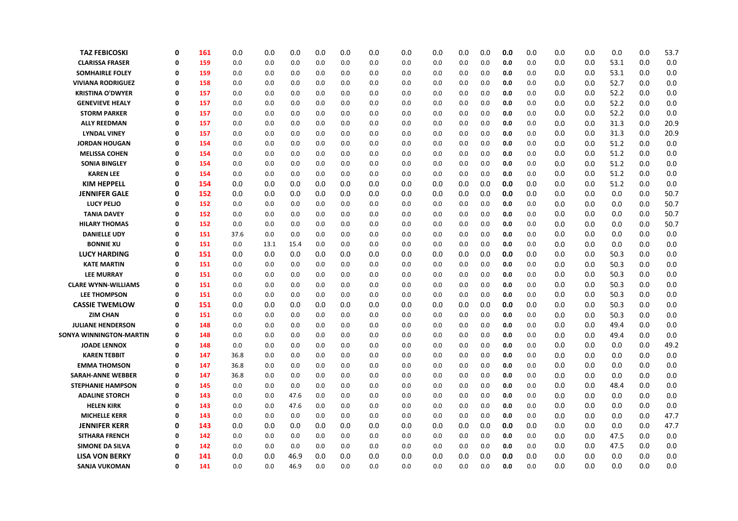| <b>TAZ FEBICOSKI</b>                       | 0             | 161        | 0.0          | 0.0        | 0.0        | 0.0        | 0.0        | 0.0        | 0.0        | 0.0        | 0.0        | 0.0        | 0.0        | 0.0        | 0.0        | 0.0        | 0.0        | 0.0        | 53.7       |
|--------------------------------------------|---------------|------------|--------------|------------|------------|------------|------------|------------|------------|------------|------------|------------|------------|------------|------------|------------|------------|------------|------------|
| <b>CLARISSA FRASER</b>                     | $\Omega$      | 159        | 0.0          | 0.0        | 0.0        | 0.0        | 0.0        | 0.0        | 0.0        | 0.0        | 0.0        | 0.0        | 0.0        | 0.0        | 0.0        | 0.0        | 53.1       | 0.0        | 0.0        |
| <b>SOMHAIRLE FOLEY</b>                     | 0             | 159        | 0.0          | 0.0        | 0.0        | 0.0        | 0.0        | 0.0        | 0.0        | 0.0        | 0.0        | 0.0        | 0.0        | 0.0        | 0.0        | 0.0        | 53.1       | 0.0        | 0.0        |
| <b>VIVIANA RODRIGUEZ</b>                   | Ω             | 158        | 0.0          | 0.0        | 0.0        | 0.0        | 0.0        | 0.0        | 0.0        | 0.0        | 0.0        | 0.0        | 0.0        | 0.0        | 0.0        | 0.0        | 52.7       | 0.0        | 0.0        |
| <b>KRISTINA O'DWYER</b>                    | 0             | 157        | 0.0          | 0.0        | 0.0        | 0.0        | 0.0        | 0.0        | 0.0        | 0.0        | 0.0        | 0.0        | 0.0        | 0.0        | 0.0        | 0.0        | 52.2       | 0.0        | 0.0        |
| <b>GENEVIEVE HEALY</b>                     | $\Omega$      | 157        | 0.0          | 0.0        | 0.0        | 0.0        | 0.0        | 0.0        | 0.0        | 0.0        | 0.0        | 0.0        | 0.0        | 0.0        | 0.0        | 0.0        | 52.2       | 0.0        | 0.0        |
| <b>STORM PARKER</b>                        | $\Omega$      | 157        | 0.0          | 0.0        | 0.0        | 0.0        | 0.0        | 0.0        | 0.0        | 0.0        | 0.0        | 0.0        | 0.0        | 0.0        | 0.0        | 0.0        | 52.2       | 0.0        | 0.0        |
| <b>ALLY REEDMAN</b>                        | $\Omega$      | 157        | 0.0          | 0.0        | 0.0        | 0.0        | 0.0        | 0.0        | 0.0        | 0.0        | 0.0        | 0.0        | 0.0        | 0.0        | 0.0        | 0.0        | 31.3       | 0.0        | 20.9       |
| <b>LYNDAL VINEY</b>                        | 0             | 157        | 0.0          | 0.0        | 0.0        | 0.0        | 0.0        | 0.0        | 0.0        | 0.0        | 0.0        | 0.0        | 0.0        | 0.0        | 0.0        | 0.0        | 31.3       | 0.0        | 20.9       |
| <b>JORDAN HOUGAN</b>                       | 0             | 154        | 0.0          | 0.0        | 0.0        | 0.0        | 0.0        | 0.0        | 0.0        | 0.0        | 0.0        | 0.0        | 0.0        | 0.0        | 0.0        | 0.0        | 51.2       | 0.0        | 0.0        |
| <b>MELISSA COHEN</b>                       | $\Omega$      | 154        | 0.0          | 0.0        | 0.0        | 0.0        | 0.0        | 0.0        | 0.0        | 0.0        | 0.0        | 0.0        | 0.0        | 0.0        | 0.0        | 0.0        | 51.2       | 0.0        | 0.0        |
| <b>SONIA BINGLEY</b>                       | $\Omega$      | 154        | 0.0          | 0.0        | 0.0        | 0.0        | 0.0        | 0.0        | 0.0        | 0.0        | 0.0        | 0.0        | 0.0        | 0.0        | 0.0        | 0.0        | 51.2       | 0.0        | 0.0        |
| <b>KAREN LEE</b>                           | $\Omega$      | 154        | 0.0          | 0.0        | 0.0        | 0.0        | 0.0        | 0.0        | 0.0        | 0.0        | 0.0        | 0.0        | 0.0        | 0.0        | 0.0        | 0.0        | 51.2       | 0.0        | 0.0        |
| <b>KIM HEPPELL</b>                         | 0             | 154        | 0.0          | 0.0        | 0.0        | 0.0        | 0.0        | 0.0        | 0.0        | 0.0        | 0.0        | 0.0        | 0.0        | 0.0        | 0.0        | 0.0        | 51.2       | 0.0        | 0.0        |
| <b>JENNIFER GALE</b>                       | 0             | 152        | 0.0          | 0.0        | 0.0        | 0.0        | 0.0        | 0.0        | 0.0        | 0.0        | 0.0        | 0.0        | 0.0        | 0.0        | 0.0        | 0.0        | 0.0        | 0.0        | 50.7       |
| <b>LUCY PELIO</b>                          | $\Omega$      | 152        | 0.0          | 0.0        | 0.0        | 0.0        | 0.0        | 0.0        | 0.0        | 0.0        | 0.0        | 0.0        | 0.0        | 0.0        | 0.0        | 0.0        | 0.0        | 0.0        | 50.7       |
| <b>TANIA DAVEY</b>                         | $\Omega$      | 152        | 0.0          | 0.0        | 0.0        | 0.0        | 0.0        | 0.0        | 0.0        | 0.0        | 0.0        | 0.0        | 0.0        | 0.0        | 0.0        | 0.0        | 0.0        | 0.0        | 50.7       |
| <b>HILARY THOMAS</b>                       | $\Omega$      | 152        | 0.0          | 0.0        | 0.0        | 0.0        | 0.0        | 0.0        | 0.0        | 0.0        | 0.0        | 0.0        | 0.0        | 0.0        | 0.0        | 0.0        | 0.0        | 0.0        | 50.7       |
| <b>DANIELLE UDY</b>                        | 0             | 151        | 37.6         | 0.0        | 0.0        | 0.0        | 0.0        | 0.0        | 0.0        | 0.0        | 0.0        | 0.0        | 0.0        | 0.0        | 0.0        | 0.0        | 0.0        | 0.0        | 0.0        |
| <b>BONNIE XU</b>                           | $\Omega$      | 151        | 0.0          | 13.1       | 15.4       | 0.0        | 0.0        | 0.0        | 0.0        | 0.0        | 0.0        | 0.0        | 0.0        | 0.0        | 0.0        | 0.0        | 0.0        | 0.0        | 0.0        |
| <b>LUCY HARDING</b>                        | $\mathbf 0$   | 151        | 0.0          | 0.0        | 0.0        | 0.0        | 0.0        | 0.0        | 0.0        | 0.0        | 0.0        | 0.0        | 0.0        | 0.0        | 0.0        | 0.0        | 50.3       | 0.0        | 0.0        |
| <b>KATE MARTIN</b>                         | $\Omega$      | 151        | 0.0          | 0.0        | 0.0        | 0.0        | 0.0        | 0.0        | 0.0        | 0.0        | 0.0        | 0.0        | 0.0        | 0.0        | 0.0        | 0.0        | 50.3       | 0.0        | 0.0        |
| <b>LEE MURRAY</b>                          | $\Omega$      | 151        | 0.0          | 0.0        | 0.0        | 0.0        | 0.0        | 0.0        | 0.0        | 0.0        | 0.0        | 0.0        | 0.0        | 0.0        | 0.0        | 0.0        | 50.3       | 0.0        | 0.0        |
| <b>CLARE WYNN-WILLIAMS</b>                 | 0             | 151        | 0.0          | 0.0        | 0.0        | 0.0        | 0.0        | 0.0        | 0.0        | 0.0        | 0.0        | 0.0        | 0.0        | 0.0        | 0.0        | 0.0        | 50.3       | 0.0        | 0.0        |
| <b>LEE THOMPSON</b>                        | $\Omega$      | 151        | 0.0          | 0.0        | 0.0        | 0.0        | 0.0        | 0.0        | 0.0        | 0.0        | 0.0        | 0.0        | 0.0        | 0.0        | 0.0        | 0.0        | 50.3       | 0.0        | 0.0        |
| <b>CASSIE TWEMLOW</b>                      | 0             | 151        | 0.0          | 0.0        | 0.0        | 0.0        | 0.0        | 0.0        | 0.0        | 0.0        | 0.0        | 0.0        | 0.0        | 0.0        | 0.0        | 0.0        | 50.3       | 0.0        | 0.0        |
| <b>ZIM CHAN</b>                            | $\Omega$      | 151        | 0.0          | 0.0        | 0.0        | 0.0        | 0.0        | 0.0        | 0.0        | 0.0        | 0.0        | 0.0        | 0.0        | 0.0        | 0.0        | 0.0        | 50.3       | 0.0        | 0.0        |
| <b>JULIANE HENDERSON</b>                   | Ω             | 148        | 0.0          | 0.0        | 0.0        | 0.0        | 0.0        | 0.0        | 0.0        | 0.0        | 0.0        | 0.0        | 0.0        | 0.0        | 0.0        | 0.0        | 49.4       | 0.0        | 0.0        |
| SONYA WINNINGTON-MARTIN                    | 0             | 148        | 0.0          | 0.0        | 0.0        | 0.0        | 0.0        | 0.0        | 0.0        | 0.0        | 0.0        | 0.0        | 0.0        | 0.0        | 0.0        | 0.0        | 49.4       | 0.0        | 0.0        |
| <b>JOADE LENNOX</b>                        | $\Omega$      | 148        | 0.0          | 0.0        | 0.0        | 0.0        | 0.0        | 0.0        | 0.0        | 0.0        | 0.0        | 0.0        | 0.0        | 0.0        | 0.0        | 0.0        | 0.0<br>0.0 | 0.0        | 49.2       |
| <b>KAREN TEBBIT</b><br><b>EMMA THOMSON</b> | 0<br>$\Omega$ | 147<br>147 | 36.8<br>36.8 | 0.0<br>0.0 | 0.0<br>0.0 | 0.0<br>0.0 | 0.0<br>0.0 | 0.0<br>0.0 | 0.0<br>0.0 | 0.0<br>0.0 | 0.0        | 0.0<br>0.0 | 0.0<br>0.0 | 0.0<br>0.0 | 0.0        | 0.0        | 0.0        | 0.0<br>0.0 | 0.0<br>0.0 |
| <b>SARAH-ANNE WEBBER</b>                   | 0             | 147        |              |            |            | 0.0        | 0.0        |            |            |            | 0.0        | 0.0        | 0.0        |            | 0.0        | 0.0        | 0.0        | 0.0        | 0.0        |
| <b>STEPHANIE HAMPSON</b>                   | Ω             | 145        | 36.8<br>0.0  | 0.0<br>0.0 | 0.0<br>0.0 | 0.0        | 0.0        | 0.0<br>0.0 | 0.0<br>0.0 | 0.0<br>0.0 | 0.0<br>0.0 | 0.0        | 0.0        | 0.0<br>0.0 | 0.0<br>0.0 | 0.0<br>0.0 | 48.4       | 0.0        | 0.0        |
| <b>ADALINE STORCH</b>                      | 0             | 143        | 0.0          | 0.0        | 47.6       | 0.0        | 0.0        | 0.0        | 0.0        | 0.0        | 0.0        | 0.0        | 0.0        | 0.0        | 0.0        | 0.0        | 0.0        | 0.0        | 0.0        |
| <b>HELEN KIRK</b>                          | $\Omega$      | 143        | 0.0          | 0.0        | 47.6       | 0.0        | 0.0        | 0.0        | 0.0        | 0.0        | 0.0        | 0.0        | 0.0        | 0.0        | 0.0        | 0.0        | 0.0        | 0.0        | 0.0        |
| <b>MICHELLE KERR</b>                       | $\Omega$      | 143        | 0.0          | 0.0        | 0.0        | 0.0        | 0.0        | 0.0        | 0.0        | 0.0        | 0.0        | 0.0        | 0.0        | 0.0        | 0.0        | 0.0        | 0.0        | 0.0        | 47.7       |
| <b>JENNIFER KERR</b>                       | 0             | 143        | 0.0          | 0.0        | 0.0        | 0.0        | 0.0        | 0.0        | 0.0        | 0.0        | 0.0        | 0.0        | 0.0        | 0.0        | 0.0        | 0.0        | 0.0        | 0.0        | 47.7       |
| <b>SITHARA FRENCH</b>                      | $\Omega$      | 142        | 0.0          | 0.0        | 0.0        | 0.0        | 0.0        | 0.0        | 0.0        | 0.0        | 0.0        | 0.0        | 0.0        | 0.0        | 0.0        | 0.0        | 47.5       | 0.0        | 0.0        |
| <b>SIMONE DA SILVA</b>                     | 0             | 142        | 0.0          | 0.0        | 0.0        | 0.0        | 0.0        | 0.0        | 0.0        | 0.0        | 0.0        | 0.0        | 0.0        | 0.0        | 0.0        | 0.0        | 47.5       | 0.0        | 0.0        |
| <b>LISA VON BERKY</b>                      | O             | 141        | 0.0          | 0.0        | 46.9       | 0.0        | 0.0        | 0.0        | 0.0        | 0.0        | 0.0        | 0.0        | 0.0        | 0.0        | 0.0        | 0.0        | 0.0        | 0.0        | 0.0        |
| <b>SANJA VUKOMAN</b>                       | O             | 141        | 0.0          | 0.0        | 46.9       | 0.0        | 0.0        | 0.0        | 0.0        | 0.0        | 0.0        | 0.0        | 0.0        | 0.0        | 0.0        | 0.0        | 0.0        | 0.0        | 0.0        |
|                                            |               |            |              |            |            |            |            |            |            |            |            |            |            |            |            |            |            |            |            |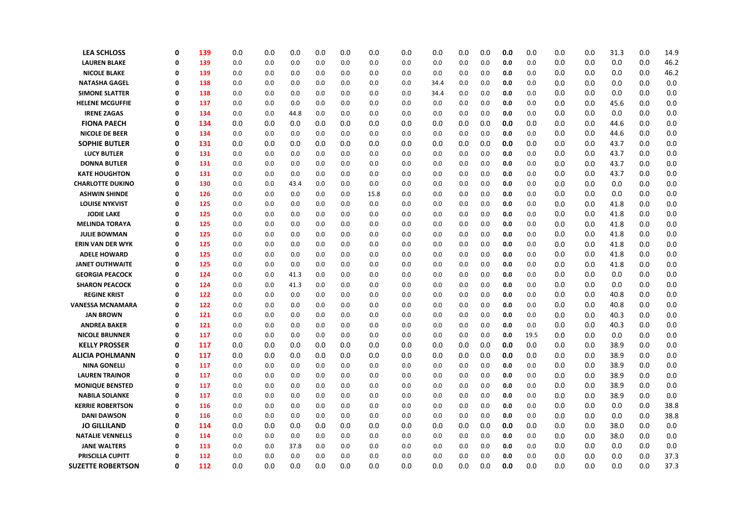| <b>LEA SCHLOSS</b>                             | $\mathbf 0$ | 139        | 0.0        | 0.0        | 0.0        | 0.0        | 0.0        | 0.0        | 0.0        | 0.0        | 0.0        | 0.0        | 0.0        | 0.0        | 0.0        | 0.0        | 31.3         | 0.0        | 14.9       |
|------------------------------------------------|-------------|------------|------------|------------|------------|------------|------------|------------|------------|------------|------------|------------|------------|------------|------------|------------|--------------|------------|------------|
| <b>LAUREN BLAKE</b>                            | $\mathbf 0$ | 139        | 0.0        | 0.0        | 0.0        | 0.0        | 0.0        | 0.0        | 0.0        | 0.0        | 0.0        | 0.0        | 0.0        | 0.0        | 0.0        | 0.0        | 0.0          | 0.0        | 46.2       |
| <b>NICOLE BLAKE</b>                            | $\Omega$    | 139        | 0.0        | 0.0        | 0.0        | 0.0        | 0.0        | 0.0        | 0.0        | 0.0        | 0.0        | 0.0        | 0.0        | 0.0        | 0.0        | 0.0        | 0.0          | 0.0        | 46.2       |
| <b>NATASHA GAGEL</b>                           | 0           | 138        | 0.0        | 0.0        | 0.0        | 0.0        | 0.0        | 0.0        | 0.0        | 34.4       | 0.0        | 0.0        | 0.0        | 0.0        | 0.0        | 0.0        | 0.0          | 0.0        | 0.0        |
| <b>SIMONE SLATTER</b>                          | 0           | 138        | 0.0        | 0.0        | 0.0        | 0.0        | 0.0        | 0.0        | 0.0        | 34.4       | 0.0        | 0.0        | 0.0        | 0.0        | 0.0        | 0.0        | 0.0          | 0.0        | 0.0        |
| <b>HELENE MCGUFFIE</b>                         | $\mathbf 0$ | 137        | 0.0        | 0.0        | 0.0        | 0.0        | 0.0        | 0.0        | 0.0        | 0.0        | 0.0        | 0.0        | 0.0        | 0.0        | 0.0        | 0.0        | 45.6         | 0.0        | 0.0        |
| <b>IRENE ZAGAS</b>                             | $\Omega$    | 134        | 0.0        | 0.0        | 44.8       | 0.0        | 0.0        | 0.0        | 0.0        | 0.0        | 0.0        | 0.0        | 0.0        | 0.0        | 0.0        | 0.0        | 0.0          | 0.0        | 0.0        |
| <b>FIONA PAECH</b>                             | 0           | 134        | 0.0        | 0.0        | 0.0        | 0.0        | 0.0        | 0.0        | 0.0        | 0.0        | 0.0        | 0.0        | 0.0        | 0.0        | 0.0        | 0.0        | 44.6         | 0.0        | 0.0        |
| <b>NICOLE DE BEER</b>                          | 0           | 134        | 0.0        | 0.0        | 0.0        | 0.0        | 0.0        | 0.0        | 0.0        | 0.0        | 0.0        | 0.0        | 0.0        | 0.0        | 0.0        | 0.0        | 44.6         | 0.0        | 0.0        |
| <b>SOPHIE BUTLER</b>                           | 0           | 131        | 0.0        | 0.0        | 0.0        | 0.0        | 0.0        | 0.0        | 0.0        | 0.0        | 0.0        | 0.0        | 0.0        | 0.0        | 0.0        | 0.0        | 43.7         | 0.0        | 0.0        |
| <b>LUCY BUTLER</b>                             | $\mathbf 0$ | 131        | 0.0        | 0.0        | 0.0        | 0.0        | 0.0        | 0.0        | 0.0        | 0.0        | 0.0        | 0.0        | 0.0        | 0.0        | 0.0        | 0.0        | 43.7         | 0.0        | 0.0        |
| <b>DONNA BUTLER</b>                            | $\Omega$    | 131        | 0.0        | 0.0        | 0.0        | 0.0        | 0.0        | 0.0        | 0.0        | 0.0        | 0.0        | 0.0        | 0.0        | 0.0        | 0.0        | 0.0        | 43.7         | 0.0        | 0.0        |
| <b>KATE HOUGHTON</b>                           | 0           | 131        | 0.0        | 0.0        | 0.0        | 0.0        | 0.0        | 0.0        | 0.0        | 0.0        | 0.0        | 0.0        | 0.0        | 0.0        | 0.0        | 0.0        | 43.7         | 0.0        | 0.0        |
| <b>CHARLOTTE DUKINO</b>                        | 0           | 130        | 0.0        | 0.0        | 43.4       | 0.0        | 0.0        | 0.0        | 0.0        | 0.0        | 0.0        | 0.0        | 0.0        | 0.0        | 0.0        | 0.0        | 0.0          | 0.0        | 0.0        |
| <b>ASHWIN SHINDE</b>                           | $\mathbf 0$ | 126        | 0.0        | 0.0        | 0.0        | 0.0        | 0.0        | 15.8       | 0.0        | 0.0        | 0.0        | 0.0        | 0.0        | 0.0        | 0.0        | 0.0        | 0.0          | 0.0        | 0.0        |
| <b>LOUISE NYKVIST</b>                          | Ω           | 125        | 0.0        | 0.0        | 0.0        | 0.0        | 0.0        | 0.0        | 0.0        | 0.0        | 0.0        | 0.0        | 0.0        | 0.0        | 0.0        | 0.0        | 41.8         | 0.0        | 0.0        |
| <b>JODIE LAKE</b>                              | 0           | 125        | 0.0        | 0.0        | 0.0        | 0.0        | 0.0        | 0.0        | 0.0        | 0.0        | 0.0        | 0.0        | 0.0        | 0.0        | 0.0        | 0.0        | 41.8         | 0.0        | 0.0        |
| <b>MELINDA TORAYA</b>                          | $\mathbf 0$ | 125        | 0.0        | 0.0        | 0.0        | 0.0        | 0.0        | 0.0        | 0.0        | 0.0        | 0.0        | 0.0        | 0.0        | 0.0        | 0.0        | 0.0        | 41.8         | 0.0        | 0.0        |
| <b>JULIE BOWMAN</b>                            | $\mathbf 0$ | 125        | 0.0        | 0.0        | 0.0        | 0.0        | 0.0        | 0.0        | 0.0        | 0.0        | 0.0        | 0.0        | 0.0        | 0.0        | 0.0        | 0.0        | 41.8         | 0.0        | 0.0        |
| <b>ERIN VAN DER WYK</b>                        | $\mathbf 0$ | 125        | 0.0        | 0.0        | 0.0        | 0.0        | 0.0        | 0.0        | 0.0        | 0.0        | 0.0        | 0.0        | 0.0        | 0.0        | 0.0        | 0.0        | 41.8         | 0.0        | 0.0        |
| <b>ADELE HOWARD</b>                            | 0           | 125        | 0.0        | 0.0        | 0.0        | 0.0        | 0.0        | 0.0        | 0.0        | 0.0        | 0.0        | 0.0        | 0.0        | 0.0        | 0.0        | 0.0        | 41.8         | 0.0        | 0.0        |
| <b>JANET OUTHWAITE</b>                         | $\mathbf 0$ | 125        | 0.0        | 0.0        | 0.0        | 0.0        | 0.0        | 0.0        | 0.0        | 0.0        | 0.0        | 0.0        | 0.0        | 0.0        | 0.0        | 0.0        | 41.8         | 0.0        | 0.0        |
| <b>GEORGIA PEACOCK</b>                         | $\mathbf 0$ | 124        | 0.0        | 0.0        | 41.3       | 0.0        | 0.0        | 0.0        | 0.0        | 0.0        | 0.0        | 0.0        | 0.0        | 0.0        | 0.0        | 0.0        | 0.0          | 0.0        | 0.0        |
| <b>SHARON PEACOCK</b>                          | $\mathbf 0$ | 124        | 0.0        | 0.0        | 41.3       | 0.0        | 0.0        | 0.0        | 0.0        | 0.0        | 0.0        | 0.0        | 0.0        | 0.0        | 0.0        | 0.0        | 0.0          | 0.0        | 0.0        |
| <b>REGINE KRIST</b>                            | $\Omega$    | 122        | 0.0        | 0.0        | 0.0        | 0.0        | 0.0        | 0.0        | 0.0        | 0.0        | 0.0        | 0.0        | 0.0        | 0.0        | 0.0        | 0.0        | 40.8         | 0.0        | 0.0        |
| <b>VANESSA MCNAMARA</b>                        | 0           | 122        | 0.0        | 0.0        | 0.0        | 0.0        | 0.0        | 0.0        | 0.0        | 0.0        | 0.0        | 0.0        | 0.0        | 0.0        | 0.0        | 0.0        | 40.8         | 0.0        | 0.0        |
| <b>JAN BROWN</b>                               | 0           | 121        | 0.0        | 0.0        | 0.0        | 0.0        | 0.0        | 0.0        | 0.0        | 0.0        | 0.0        | 0.0        | 0.0        | 0.0        | 0.0        | 0.0        | 40.3         | 0.0        | 0.0        |
| <b>ANDREA BAKER</b>                            | $\mathbf 0$ | 121        | 0.0        | 0.0        | 0.0        | 0.0        | 0.0        | 0.0        | 0.0        | 0.0        | 0.0        | 0.0        | 0.0        | 0.0        | 0.0        | 0.0        | 40.3         | 0.0        | 0.0        |
| <b>NICOLE BRUNNER</b>                          | $\Omega$    | 117        | 0.0        | 0.0        | 0.0        | 0.0        | 0.0        | 0.0        | 0.0        | 0.0        | 0.0        | 0.0        | 0.0        | 19.5       | 0.0        | 0.0        | 0.0          | 0.0        | 0.0        |
| <b>KELLY PROSSER</b><br><b>ALICIA POHLMANN</b> | 0<br>0      | 117<br>117 | 0.0<br>0.0 | 0.0<br>0.0 | 0.0<br>0.0 | 0.0<br>0.0 | 0.0<br>0.0 | 0.0<br>0.0 | 0.0<br>0.0 | 0.0<br>0.0 | 0.0<br>0.0 | 0.0<br>0.0 | 0.0<br>0.0 | 0.0<br>0.0 | 0.0<br>0.0 | 0.0<br>0.0 | 38.9<br>38.9 | 0.0<br>0.0 | 0.0<br>0.0 |
| <b>NINA GONELLI</b>                            | $\mathbf 0$ | 117        | 0.0        | 0.0        | 0.0        | 0.0        | 0.0        | 0.0        | 0.0        | 0.0        | 0.0        | 0.0        | 0.0        | 0.0        | 0.0        | 0.0        | 38.9         | 0.0        | 0.0        |
| <b>LAUREN TRAINOR</b>                          | 0           | 117        | 0.0        | 0.0        | 0.0        | 0.0        | 0.0        | 0.0        | 0.0        | 0.0        | 0.0        | 0.0        | 0.0        | 0.0        | 0.0        | 0.0        | 38.9         | 0.0        | 0.0        |
| <b>MONIQUE BENSTED</b>                         | $\mathbf 0$ | 117        | 0.0        | 0.0        | 0.0        | 0.0        | 0.0        | 0.0        | 0.0        | 0.0        | 0.0        | 0.0        | 0.0        | 0.0        | 0.0        | 0.0        | 38.9         | 0.0        | 0.0        |
| <b>NABILA SOLANKE</b>                          | 0           | 117        | 0.0        | 0.0        | 0.0        | 0.0        | 0.0        | 0.0        | 0.0        | 0.0        | 0.0        | 0.0        | 0.0        | 0.0        | 0.0        | 0.0        | 38.9         | 0.0        | 0.0        |
| <b>KERRIE ROBERTSON</b>                        | Ω           | 116        | 0.0        | 0.0        | 0.0        | 0.0        | 0.0        | 0.0        | 0.0        | 0.0        | 0.0        | 0.0        | 0.0        | 0.0        | 0.0        | 0.0        | 0.0          | 0.0        | 38.8       |
| <b>DANI DAWSON</b>                             | $\Omega$    | 116        | 0.0        | 0.0        | 0.0        | 0.0        | 0.0        | 0.0        | 0.0        | 0.0        | 0.0        | 0.0        | 0.0        | 0.0        | 0.0        | 0.0        | 0.0          | 0.0        | 38.8       |
| <b>JO GILLILAND</b>                            | 0           | 114        | 0.0        | 0.0        | 0.0        | 0.0        | 0.0        | 0.0        | 0.0        | 0.0        | 0.0        | 0.0        | 0.0        | 0.0        | 0.0        | 0.0        | 38.0         | 0.0        | 0.0        |
| <b>NATALIE VENNELLS</b>                        | 0           | 114        | 0.0        | 0.0        | 0.0        | 0.0        | 0.0        | 0.0        | 0.0        | 0.0        | 0.0        | 0.0        | 0.0        | 0.0        | 0.0        | 0.0        | 38.0         | 0.0        | 0.0        |
| <b>JANE WALTERS</b>                            | $\mathbf 0$ | 113        | 0.0        | 0.0        | 37.8       | 0.0        | 0.0        | 0.0        | 0.0        | 0.0        | 0.0        | 0.0        | 0.0        | 0.0        | 0.0        | 0.0        | 0.0          | 0.0        | 0.0        |
| PRISCILLA CUPITT                               | $\mathbf 0$ | 112        | 0.0        | 0.0        | 0.0        | 0.0        | 0.0        | 0.0        | 0.0        | 0.0        | 0.0        | 0.0        | 0.0        | 0.0        | 0.0        | 0.0        | 0.0          | 0.0        | 37.3       |
| <b>SUZETTE ROBERTSON</b>                       | 0           | 112        | 0.0        | 0.0        | 0.0        | 0.0        | 0.0        | 0.0        | 0.0        | 0.0        | 0.0        | 0.0        | 0.0        | 0.0        | 0.0        | 0.0        | 0.0          | 0.0        | 37.3       |
|                                                |             |            |            |            |            |            |            |            |            |            |            |            |            |            |            |            |              |            |            |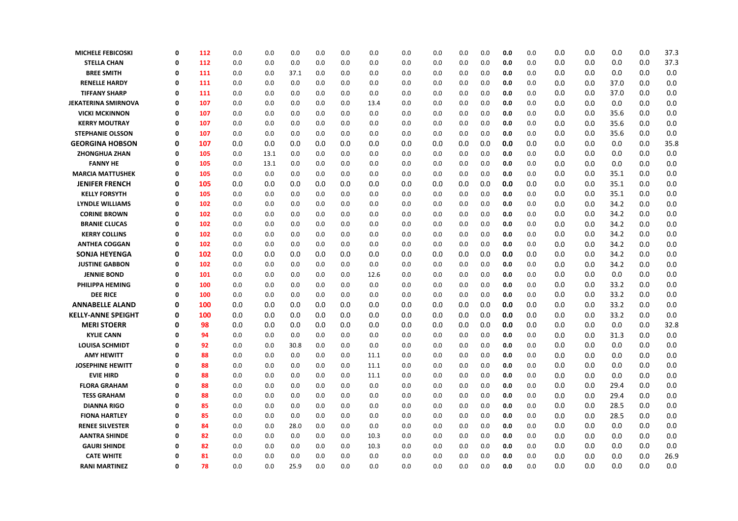| <b>MICHELE FEBICOSKI</b>   | Ω        | 112 | 0.0 | 0.0  | 0.0  | 0.0 | 0.0 | 0.0  | 0.0 | 0.0 | 0.0 | 0.0 | 0.0 | 0.0 | 0.0 | 0.0 | 0.0  | 0.0 | 37.3 |
|----------------------------|----------|-----|-----|------|------|-----|-----|------|-----|-----|-----|-----|-----|-----|-----|-----|------|-----|------|
| <b>STELLA CHAN</b>         | 0        | 112 | 0.0 | 0.0  | 0.0  | 0.0 | 0.0 | 0.0  | 0.0 | 0.0 | 0.0 | 0.0 | 0.0 | 0.0 | 0.0 | 0.0 | 0.0  | 0.0 | 37.3 |
| <b>BREE SMITH</b>          | 0        | 111 | 0.0 | 0.0  | 37.1 | 0.0 | 0.0 | 0.0  | 0.0 | 0.0 | 0.0 | 0.0 | 0.0 | 0.0 | 0.0 | 0.0 | 0.0  | 0.0 | 0.0  |
| <b>RENELLE HARDY</b>       | 0        | 111 | 0.0 | 0.0  | 0.0  | 0.0 | 0.0 | 0.0  | 0.0 | 0.0 | 0.0 | 0.0 | 0.0 | 0.0 | 0.0 | 0.0 | 37.0 | 0.0 | 0.0  |
| <b>TIFFANY SHARP</b>       | 0        | 111 | 0.0 | 0.0  | 0.0  | 0.0 | 0.0 | 0.0  | 0.0 | 0.0 | 0.0 | 0.0 | 0.0 | 0.0 | 0.0 | 0.0 | 37.0 | 0.0 | 0.0  |
| <b>JEKATERINA SMIRNOVA</b> | 0        | 107 | 0.0 | 0.0  | 0.0  | 0.0 | 0.0 | 13.4 | 0.0 | 0.0 | 0.0 | 0.0 | 0.0 | 0.0 | 0.0 | 0.0 | 0.0  | 0.0 | 0.0  |
| <b>VICKI MCKINNON</b>      | $\Omega$ | 107 | 0.0 | 0.0  | 0.0  | 0.0 | 0.0 | 0.0  | 0.0 | 0.0 | 0.0 | 0.0 | 0.0 | 0.0 | 0.0 | 0.0 | 35.6 | 0.0 | 0.0  |
| <b>KERRY MOUTRAY</b>       | $\Omega$ | 107 | 0.0 | 0.0  | 0.0  | 0.0 | 0.0 | 0.0  | 0.0 | 0.0 | 0.0 | 0.0 | 0.0 | 0.0 | 0.0 | 0.0 | 35.6 | 0.0 | 0.0  |
| <b>STEPHANIE OLSSON</b>    | 0        | 107 | 0.0 | 0.0  | 0.0  | 0.0 | 0.0 | 0.0  | 0.0 | 0.0 | 0.0 | 0.0 | 0.0 | 0.0 | 0.0 | 0.0 | 35.6 | 0.0 | 0.0  |
| <b>GEORGINA HOBSON</b>     | 0        | 107 | 0.0 | 0.0  | 0.0  | 0.0 | 0.0 | 0.0  | 0.0 | 0.0 | 0.0 | 0.0 | 0.0 | 0.0 | 0.0 | 0.0 | 0.0  | 0.0 | 35.8 |
| ZHONGHUA ZHAN              | 0        | 105 | 0.0 | 13.1 | 0.0  | 0.0 | 0.0 | 0.0  | 0.0 | 0.0 | 0.0 | 0.0 | 0.0 | 0.0 | 0.0 | 0.0 | 0.0  | 0.0 | 0.0  |
| <b>FANNY HE</b>            | 0        | 105 | 0.0 | 13.1 | 0.0  | 0.0 | 0.0 | 0.0  | 0.0 | 0.0 | 0.0 | 0.0 | 0.0 | 0.0 | 0.0 | 0.0 | 0.0  | 0.0 | 0.0  |
| <b>MARCIA MATTUSHEK</b>    | 0        | 105 | 0.0 | 0.0  | 0.0  | 0.0 | 0.0 | 0.0  | 0.0 | 0.0 | 0.0 | 0.0 | 0.0 | 0.0 | 0.0 | 0.0 | 35.1 | 0.0 | 0.0  |
| <b>JENIFER FRENCH</b>      | 0        | 105 | 0.0 | 0.0  | 0.0  | 0.0 | 0.0 | 0.0  | 0.0 | 0.0 | 0.0 | 0.0 | 0.0 | 0.0 | 0.0 | 0.0 | 35.1 | 0.0 | 0.0  |
| <b>KELLY FORSYTH</b>       | 0        | 105 | 0.0 | 0.0  | 0.0  | 0.0 | 0.0 | 0.0  | 0.0 | 0.0 | 0.0 | 0.0 | 0.0 | 0.0 | 0.0 | 0.0 | 35.1 | 0.0 | 0.0  |
| <b>LYNDLE WILLIAMS</b>     | 0        | 102 | 0.0 | 0.0  | 0.0  | 0.0 | 0.0 | 0.0  | 0.0 | 0.0 | 0.0 | 0.0 | 0.0 | 0.0 | 0.0 | 0.0 | 34.2 | 0.0 | 0.0  |
| <b>CORINE BROWN</b>        | 0        | 102 | 0.0 | 0.0  | 0.0  | 0.0 | 0.0 | 0.0  | 0.0 | 0.0 | 0.0 | 0.0 | 0.0 | 0.0 | 0.0 | 0.0 | 34.2 | 0.0 | 0.0  |
| <b>BRANIE CLUCAS</b>       | Ω        | 102 | 0.0 | 0.0  | 0.0  | 0.0 | 0.0 | 0.0  | 0.0 | 0.0 | 0.0 | 0.0 | 0.0 | 0.0 | 0.0 | 0.0 | 34.2 | 0.0 | 0.0  |
| <b>KERRY COLLINS</b>       | 0        | 102 | 0.0 | 0.0  | 0.0  | 0.0 | 0.0 | 0.0  | 0.0 | 0.0 | 0.0 | 0.0 | 0.0 | 0.0 | 0.0 | 0.0 | 34.2 | 0.0 | 0.0  |
| <b>ANTHEA COGGAN</b>       | 0        | 102 | 0.0 | 0.0  | 0.0  | 0.0 | 0.0 | 0.0  | 0.0 | 0.0 | 0.0 | 0.0 | 0.0 | 0.0 | 0.0 | 0.0 | 34.2 | 0.0 | 0.0  |
| <b>SONJA HEYENGA</b>       | 0        | 102 | 0.0 | 0.0  | 0.0  | 0.0 | 0.0 | 0.0  | 0.0 | 0.0 | 0.0 | 0.0 | 0.0 | 0.0 | 0.0 | 0.0 | 34.2 | 0.0 | 0.0  |
| <b>JUSTINE GABBON</b>      | 0        | 102 | 0.0 | 0.0  | 0.0  | 0.0 | 0.0 | 0.0  | 0.0 | 0.0 | 0.0 | 0.0 | 0.0 | 0.0 | 0.0 | 0.0 | 34.2 | 0.0 | 0.0  |
| <b>JENNIE BOND</b>         | 0        | 101 | 0.0 | 0.0  | 0.0  | 0.0 | 0.0 | 12.6 | 0.0 | 0.0 | 0.0 | 0.0 | 0.0 | 0.0 | 0.0 | 0.0 | 0.0  | 0.0 | 0.0  |
| PHILIPPA HEMING            | 0        | 100 | 0.0 | 0.0  | 0.0  | 0.0 | 0.0 | 0.0  | 0.0 | 0.0 | 0.0 | 0.0 | 0.0 | 0.0 | 0.0 | 0.0 | 33.2 | 0.0 | 0.0  |
| <b>DEE RICE</b>            | 0        | 100 | 0.0 | 0.0  | 0.0  | 0.0 | 0.0 | 0.0  | 0.0 | 0.0 | 0.0 | 0.0 | 0.0 | 0.0 | 0.0 | 0.0 | 33.2 | 0.0 | 0.0  |
| <b>ANNABELLE ALAND</b>     | 0        | 100 | 0.0 | 0.0  | 0.0  | 0.0 | 0.0 | 0.0  | 0.0 | 0.0 | 0.0 | 0.0 | 0.0 | 0.0 | 0.0 | 0.0 | 33.2 | 0.0 | 0.0  |
| <b>KELLY-ANNE SPEIGHT</b>  | 0        | 100 | 0.0 | 0.0  | 0.0  | 0.0 | 0.0 | 0.0  | 0.0 | 0.0 | 0.0 | 0.0 | 0.0 | 0.0 | 0.0 | 0.0 | 33.2 | 0.0 | 0.0  |
| <b>MERI STOERR</b>         | 0        | 98  | 0.0 | 0.0  | 0.0  | 0.0 | 0.0 | 0.0  | 0.0 | 0.0 | 0.0 | 0.0 | 0.0 | 0.0 | 0.0 | 0.0 | 0.0  | 0.0 | 32.8 |
| <b>KYLIE CANN</b>          | 0        | 94  | 0.0 | 0.0  | 0.0  | 0.0 | 0.0 | 0.0  | 0.0 | 0.0 | 0.0 | 0.0 | 0.0 | 0.0 | 0.0 | 0.0 | 31.3 | 0.0 | 0.0  |
| <b>LOUISA SCHMIDT</b>      | Ω        | 92  | 0.0 | 0.0  | 30.8 | 0.0 | 0.0 | 0.0  | 0.0 | 0.0 | 0.0 | 0.0 | 0.0 | 0.0 | 0.0 | 0.0 | 0.0  | 0.0 | 0.0  |
| <b>AMY HEWITT</b>          | 0        | 88  | 0.0 | 0.0  | 0.0  | 0.0 | 0.0 | 11.1 | 0.0 | 0.0 | 0.0 | 0.0 | 0.0 | 0.0 | 0.0 | 0.0 | 0.0  | 0.0 | 0.0  |
| <b>JOSEPHINE HEWITT</b>    | Ω        | 88  | 0.0 | 0.0  | 0.0  | 0.0 | 0.0 | 11.1 | 0.0 | 0.0 | 0.0 | 0.0 | 0.0 | 0.0 | 0.0 | 0.0 | 0.0  | 0.0 | 0.0  |
| <b>EVIE HIRD</b>           | 0        | 88  | 0.0 | 0.0  | 0.0  | 0.0 | 0.0 | 11.1 | 0.0 | 0.0 | 0.0 | 0.0 | 0.0 | 0.0 | 0.0 | 0.0 | 0.0  | 0.0 | 0.0  |
| <b>FLORA GRAHAM</b>        | $\Omega$ | 88  | 0.0 | 0.0  | 0.0  | 0.0 | 0.0 | 0.0  | 0.0 | 0.0 | 0.0 | 0.0 | 0.0 | 0.0 | 0.0 | 0.0 | 29.4 | 0.0 | 0.0  |
| <b>TESS GRAHAM</b>         | Ω        | 88  | 0.0 | 0.0  | 0.0  | 0.0 | 0.0 | 0.0  | 0.0 | 0.0 | 0.0 | 0.0 | 0.0 | 0.0 | 0.0 | 0.0 | 29.4 | 0.0 | 0.0  |
| <b>DIANNA RIGO</b>         | 0        | 85  | 0.0 | 0.0  | 0.0  | 0.0 | 0.0 | 0.0  | 0.0 | 0.0 | 0.0 | 0.0 | 0.0 | 0.0 | 0.0 | 0.0 | 28.5 | 0.0 | 0.0  |
| <b>FIONA HARTLEY</b>       | Ω        | 85  | 0.0 | 0.0  | 0.0  | 0.0 | 0.0 | 0.0  | 0.0 | 0.0 | 0.0 | 0.0 | 0.0 | 0.0 | 0.0 | 0.0 | 28.5 | 0.0 | 0.0  |
| <b>RENEE SILVESTER</b>     | Ω        | 84  | 0.0 | 0.0  | 28.0 | 0.0 | 0.0 | 0.0  | 0.0 | 0.0 | 0.0 | 0.0 | 0.0 | 0.0 | 0.0 | 0.0 | 0.0  | 0.0 | 0.0  |
| <b>AANTRA SHINDE</b>       | O        | 82  | 0.0 | 0.0  | 0.0  | 0.0 | 0.0 | 10.3 | 0.0 | 0.0 | 0.0 | 0.0 | 0.0 | 0.0 | 0.0 | 0.0 | 0.0  | 0.0 | 0.0  |
| <b>GAURI SHINDE</b>        | 0        | 82  | 0.0 | 0.0  | 0.0  | 0.0 | 0.0 | 10.3 | 0.0 | 0.0 | 0.0 | 0.0 | 0.0 | 0.0 | 0.0 | 0.0 | 0.0  | 0.0 | 0.0  |
| <b>CATE WHITE</b>          | Ω        | 81  | 0.0 | 0.0  | 0.0  | 0.0 | 0.0 | 0.0  | 0.0 | 0.0 | 0.0 | 0.0 | 0.0 | 0.0 | 0.0 | 0.0 | 0.0  | 0.0 | 26.9 |
| <b>RANI MARTINEZ</b>       | 0        | 78  | 0.0 | 0.0  | 25.9 | 0.0 | 0.0 | 0.0  | 0.0 | 0.0 | 0.0 | 0.0 | 0.0 | 0.0 | 0.0 | 0.0 | 0.0  | 0.0 | 0.0  |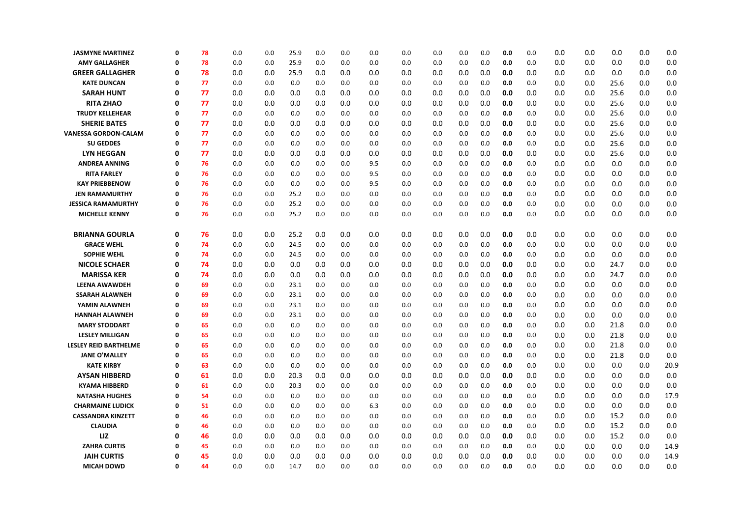| <b>JASMYNE MARTINEZ</b>      | $\Omega$    | 78 | 0.0 | 0.0 | 25.9 | 0.0 | 0.0 | 0.0 | 0.0 | 0.0 | 0.0 | 0.0 | 0.0 | 0.0 | 0.0 | 0.0 | 0.0  | 0.0 | 0.0  |
|------------------------------|-------------|----|-----|-----|------|-----|-----|-----|-----|-----|-----|-----|-----|-----|-----|-----|------|-----|------|
| <b>AMY GALLAGHER</b>         | 0           | 78 | 0.0 | 0.0 | 25.9 | 0.0 | 0.0 | 0.0 | 0.0 | 0.0 | 0.0 | 0.0 | 0.0 | 0.0 | 0.0 | 0.0 | 0.0  | 0.0 | 0.0  |
| <b>GREER GALLAGHER</b>       | 0           | 78 | 0.0 | 0.0 | 25.9 | 0.0 | 0.0 | 0.0 | 0.0 | 0.0 | 0.0 | 0.0 | 0.0 | 0.0 | 0.0 | 0.0 | 0.0  | 0.0 | 0.0  |
| <b>KATE DUNCAN</b>           | 0           | 77 | 0.0 | 0.0 | 0.0  | 0.0 | 0.0 | 0.0 | 0.0 | 0.0 | 0.0 | 0.0 | 0.0 | 0.0 | 0.0 | 0.0 | 25.6 | 0.0 | 0.0  |
| <b>SARAH HUNT</b>            | 0           | 77 | 0.0 | 0.0 | 0.0  | 0.0 | 0.0 | 0.0 | 0.0 | 0.0 | 0.0 | 0.0 | 0.0 | 0.0 | 0.0 | 0.0 | 25.6 | 0.0 | 0.0  |
| <b>RITA ZHAO</b>             | 0           | 77 | 0.0 | 0.0 | 0.0  | 0.0 | 0.0 | 0.0 | 0.0 | 0.0 | 0.0 | 0.0 | 0.0 | 0.0 | 0.0 | 0.0 | 25.6 | 0.0 | 0.0  |
| <b>TRUDY KELLEHEAR</b>       | $\Omega$    | 77 | 0.0 | 0.0 | 0.0  | 0.0 | 0.0 | 0.0 | 0.0 | 0.0 | 0.0 | 0.0 | 0.0 | 0.0 | 0.0 | 0.0 | 25.6 | 0.0 | 0.0  |
| <b>SHERIE BATES</b>          | $\Omega$    | 77 | 0.0 | 0.0 | 0.0  | 0.0 | 0.0 | 0.0 | 0.0 | 0.0 | 0.0 | 0.0 | 0.0 | 0.0 | 0.0 | 0.0 | 25.6 | 0.0 | 0.0  |
| VANESSA GORDON-CALAM         | 0           | 77 | 0.0 | 0.0 | 0.0  | 0.0 | 0.0 | 0.0 | 0.0 | 0.0 | 0.0 | 0.0 | 0.0 | 0.0 | 0.0 | 0.0 | 25.6 | 0.0 | 0.0  |
| <b>SU GEDDES</b>             | $\Omega$    | 77 | 0.0 | 0.0 | 0.0  | 0.0 | 0.0 | 0.0 | 0.0 | 0.0 | 0.0 | 0.0 | 0.0 | 0.0 | 0.0 | 0.0 | 25.6 | 0.0 | 0.0  |
| <b>LYN HEGGAN</b>            | 0           | 77 | 0.0 | 0.0 | 0.0  | 0.0 | 0.0 | 0.0 | 0.0 | 0.0 | 0.0 | 0.0 | 0.0 | 0.0 | 0.0 | 0.0 | 25.6 | 0.0 | 0.0  |
| <b>ANDREA ANNING</b>         | $\Omega$    | 76 | 0.0 | 0.0 | 0.0  | 0.0 | 0.0 | 9.5 | 0.0 | 0.0 | 0.0 | 0.0 | 0.0 | 0.0 | 0.0 | 0.0 | 0.0  | 0.0 | 0.0  |
| <b>RITA FARLEY</b>           | 0           | 76 | 0.0 | 0.0 | 0.0  | 0.0 | 0.0 | 9.5 | 0.0 | 0.0 | 0.0 | 0.0 | 0.0 | 0.0 | 0.0 | 0.0 | 0.0  | 0.0 | 0.0  |
| <b>KAY PRIEBBENOW</b>        | $\Omega$    | 76 | 0.0 | 0.0 | 0.0  | 0.0 | 0.0 | 9.5 | 0.0 | 0.0 | 0.0 | 0.0 | 0.0 | 0.0 | 0.0 | 0.0 | 0.0  | 0.0 | 0.0  |
| <b>JEN RAMAMURTHY</b>        | $\Omega$    | 76 | 0.0 | 0.0 | 25.2 | 0.0 | 0.0 | 0.0 | 0.0 | 0.0 | 0.0 | 0.0 | 0.0 | 0.0 | 0.0 | 0.0 | 0.0  | 0.0 | 0.0  |
| <b>JESSICA RAMAMURTHY</b>    | $\Omega$    | 76 | 0.0 | 0.0 | 25.2 | 0.0 | 0.0 | 0.0 | 0.0 | 0.0 | 0.0 | 0.0 | 0.0 | 0.0 | 0.0 | 0.0 | 0.0  | 0.0 | 0.0  |
| <b>MICHELLE KENNY</b>        | $\Omega$    | 76 | 0.0 | 0.0 | 25.2 | 0.0 | 0.0 | 0.0 | 0.0 | 0.0 | 0.0 | 0.0 | 0.0 | 0.0 | 0.0 | 0.0 | 0.0  | 0.0 | 0.0  |
| <b>BRIANNA GOURLA</b>        | $\mathbf 0$ | 76 | 0.0 | 0.0 | 25.2 | 0.0 | 0.0 | 0.0 | 0.0 | 0.0 | 0.0 | 0.0 | 0.0 | 0.0 | 0.0 | 0.0 | 0.0  | 0.0 | 0.0  |
| <b>GRACE WEHL</b>            | $\Omega$    | 74 | 0.0 | 0.0 | 24.5 | 0.0 | 0.0 | 0.0 | 0.0 | 0.0 | 0.0 | 0.0 | 0.0 | 0.0 | 0.0 | 0.0 | 0.0  | 0.0 | 0.0  |
| <b>SOPHIE WEHL</b>           | Ω           | 74 | 0.0 | 0.0 | 24.5 | 0.0 | 0.0 | 0.0 | 0.0 | 0.0 | 0.0 | 0.0 | 0.0 | 0.0 | 0.0 | 0.0 | 0.0  | 0.0 | 0.0  |
| <b>NICOLE SCHAER</b>         | 0           | 74 | 0.0 | 0.0 | 0.0  | 0.0 | 0.0 | 0.0 | 0.0 | 0.0 | 0.0 | 0.0 | 0.0 | 0.0 | 0.0 | 0.0 | 24.7 | 0.0 | 0.0  |
| <b>MARISSA KER</b>           | 0           | 74 | 0.0 | 0.0 | 0.0  | 0.0 | 0.0 | 0.0 | 0.0 | 0.0 | 0.0 | 0.0 | 0.0 | 0.0 | 0.0 | 0.0 | 24.7 | 0.0 | 0.0  |
| <b>LEENA AWAWDEH</b>         | 0           | 69 | 0.0 | 0.0 | 23.1 | 0.0 | 0.0 | 0.0 | 0.0 | 0.0 | 0.0 | 0.0 | 0.0 | 0.0 | 0.0 | 0.0 | 0.0  | 0.0 | 0.0  |
| <b>SSARAH ALAWNEH</b>        | $\Omega$    | 69 | 0.0 | 0.0 | 23.1 | 0.0 | 0.0 | 0.0 | 0.0 | 0.0 | 0.0 | 0.0 | 0.0 | 0.0 | 0.0 | 0.0 | 0.0  | 0.0 | 0.0  |
| YAMIN ALAWNEH                | $\Omega$    | 69 | 0.0 | 0.0 | 23.1 | 0.0 | 0.0 | 0.0 | 0.0 | 0.0 | 0.0 | 0.0 | 0.0 | 0.0 | 0.0 | 0.0 | 0.0  | 0.0 | 0.0  |
| <b>HANNAH ALAWNEH</b>        | 0           | 69 | 0.0 | 0.0 | 23.1 | 0.0 | 0.0 | 0.0 | 0.0 | 0.0 | 0.0 | 0.0 | 0.0 | 0.0 | 0.0 | 0.0 | 0.0  | 0.0 | 0.0  |
| <b>MARY STODDART</b>         | $\Omega$    | 65 | 0.0 | 0.0 | 0.0  | 0.0 | 0.0 | 0.0 | 0.0 | 0.0 | 0.0 | 0.0 | 0.0 | 0.0 | 0.0 | 0.0 | 21.8 | 0.0 | 0.0  |
| <b>LESLEY MILLIGAN</b>       | $\Omega$    | 65 | 0.0 | 0.0 | 0.0  | 0.0 | 0.0 | 0.0 | 0.0 | 0.0 | 0.0 | 0.0 | 0.0 | 0.0 | 0.0 | 0.0 | 21.8 | 0.0 | 0.0  |
| <b>LESLEY REID BARTHELME</b> | Ω           | 65 | 0.0 | 0.0 | 0.0  | 0.0 | 0.0 | 0.0 | 0.0 | 0.0 | 0.0 | 0.0 | 0.0 | 0.0 | 0.0 | 0.0 | 21.8 | 0.0 | 0.0  |
| <b>JANE O'MALLEY</b>         | 0           | 65 | 0.0 | 0.0 | 0.0  | 0.0 | 0.0 | 0.0 | 0.0 | 0.0 | 0.0 | 0.0 | 0.0 | 0.0 | 0.0 | 0.0 | 21.8 | 0.0 | 0.0  |
| <b>KATE KIRBY</b>            | 0           | 63 | 0.0 | 0.0 | 0.0  | 0.0 | 0.0 | 0.0 | 0.0 | 0.0 | 0.0 | 0.0 | 0.0 | 0.0 | 0.0 | 0.0 | 0.0  | 0.0 | 20.9 |
| <b>AYSAN HIBBERD</b>         | $\mathbf 0$ | 61 | 0.0 | 0.0 | 20.3 | 0.0 | 0.0 | 0.0 | 0.0 | 0.0 | 0.0 | 0.0 | 0.0 | 0.0 | 0.0 | 0.0 | 0.0  | 0.0 | 0.0  |
| <b>KYAMA HIBBERD</b>         | $\Omega$    | 61 | 0.0 | 0.0 | 20.3 | 0.0 | 0.0 | 0.0 | 0.0 | 0.0 | 0.0 | 0.0 | 0.0 | 0.0 | 0.0 | 0.0 | 0.0  | 0.0 | 0.0  |
| <b>NATASHA HUGHES</b>        | $\Omega$    | 54 | 0.0 | 0.0 | 0.0  | 0.0 | 0.0 | 0.0 | 0.0 | 0.0 | 0.0 | 0.0 | 0.0 | 0.0 | 0.0 | 0.0 | 0.0  | 0.0 | 17.9 |
| <b>CHARMAINE LUDICK</b>      | $\Omega$    | 51 | 0.0 | 0.0 | 0.0  | 0.0 | 0.0 | 6.3 | 0.0 | 0.0 | 0.0 | 0.0 | 0.0 | 0.0 | 0.0 | 0.0 | 0.0  | 0.0 | 0.0  |
| <b>CASSANDRA KINZETT</b>     | $\Omega$    | 46 | 0.0 | 0.0 | 0.0  | 0.0 | 0.0 | 0.0 | 0.0 | 0.0 | 0.0 | 0.0 | 0.0 | 0.0 | 0.0 | 0.0 | 15.2 | 0.0 | 0.0  |
| <b>CLAUDIA</b>               | Ω           | 46 | 0.0 | 0.0 | 0.0  | 0.0 | 0.0 | 0.0 | 0.0 | 0.0 | 0.0 | 0.0 | 0.0 | 0.0 | 0.0 | 0.0 | 15.2 | 0.0 | 0.0  |
| LIZ                          | $\Omega$    | 46 | 0.0 | 0.0 | 0.0  | 0.0 | 0.0 | 0.0 | 0.0 | 0.0 | 0.0 | 0.0 | 0.0 | 0.0 | 0.0 | 0.0 | 15.2 | 0.0 | 0.0  |
| <b>ZAHRA CURTIS</b>          | Ω           | 45 | 0.0 | 0.0 | 0.0  | 0.0 | 0.0 | 0.0 | 0.0 | 0.0 | 0.0 | 0.0 | 0.0 | 0.0 | 0.0 | 0.0 | 0.0  | 0.0 | 14.9 |
| <b>JAIH CURTIS</b>           | 0           | 45 | 0.0 | 0.0 | 0.0  | 0.0 | 0.0 | 0.0 | 0.0 | 0.0 | 0.0 | 0.0 | 0.0 | 0.0 | 0.0 | 0.0 | 0.0  | 0.0 | 14.9 |
| <b>MICAH DOWD</b>            | $\Omega$    | 44 | 0.0 | 0.0 | 14.7 | 0.0 | 0.0 | 0.0 | 0.0 | 0.0 | 0.0 | 0.0 | 0.0 | 0.0 | 0.0 | 0.0 | 0.0  | 0.0 | 0.0  |